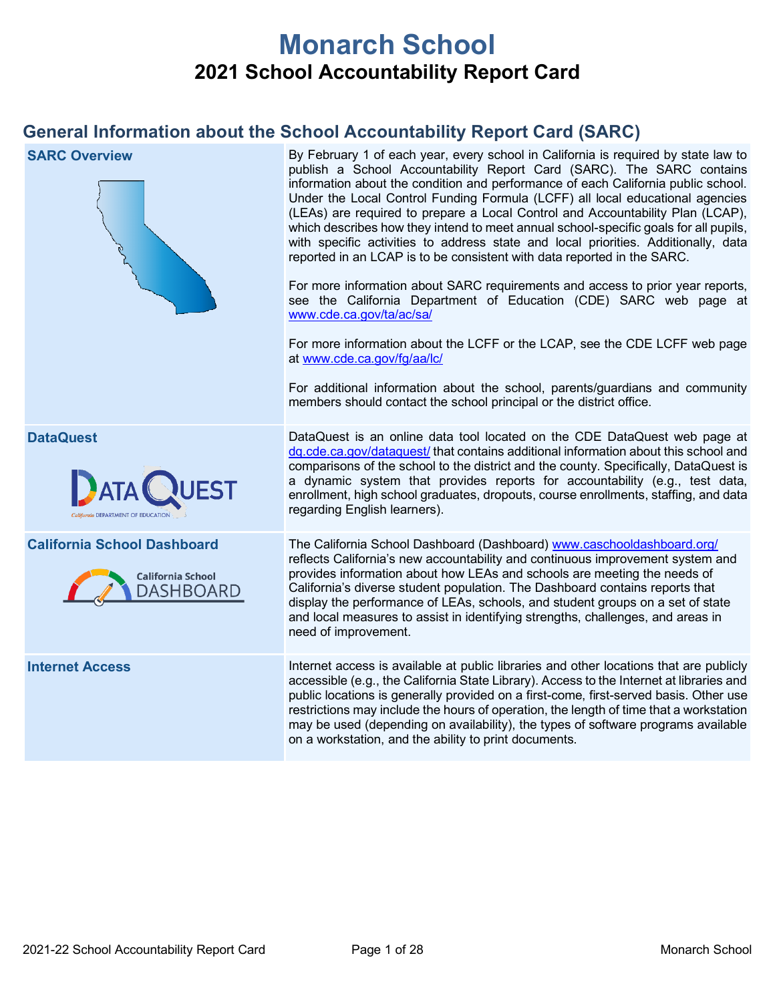# **Monarch School 2021 School Accountability Report Card**

## **General Information about the School Accountability Report Card (SARC)**

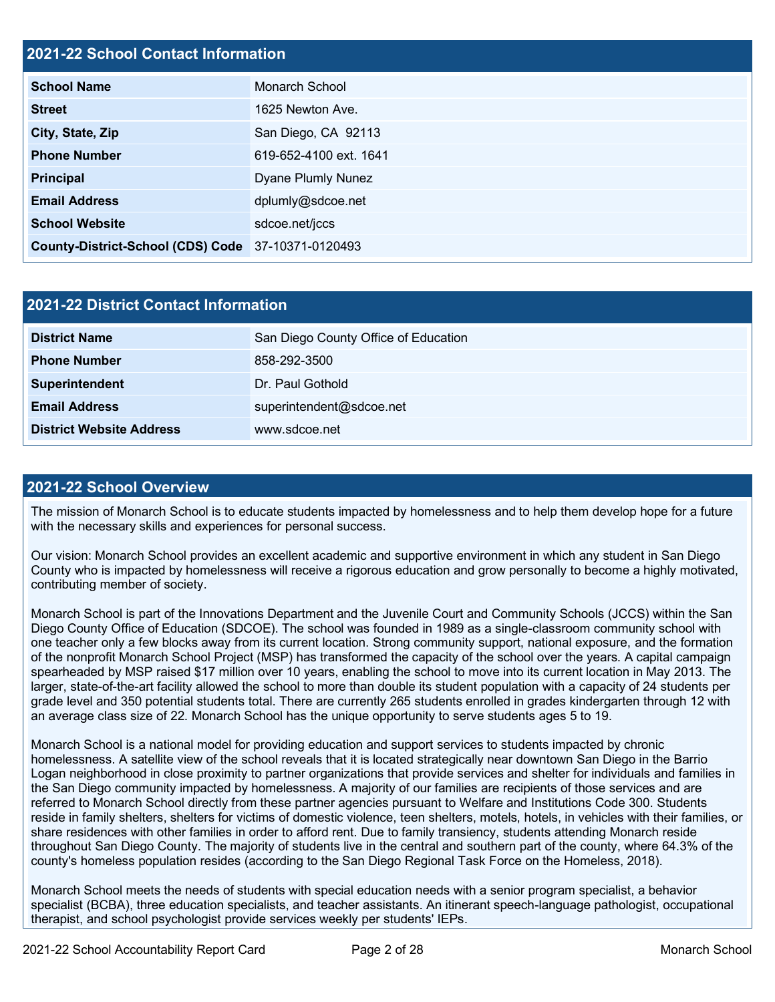### **2021-22 School Contact Information**

| <b>School Name</b>                                 | Monarch School         |
|----------------------------------------------------|------------------------|
| <b>Street</b>                                      | 1625 Newton Ave.       |
| City, State, Zip                                   | San Diego, CA 92113    |
| <b>Phone Number</b>                                | 619-652-4100 ext. 1641 |
| <b>Principal</b>                                   | Dyane Plumly Nunez     |
| <b>Email Address</b>                               | dplumly@sdcoe.net      |
| <b>School Website</b>                              | sdcoe.net/jccs         |
| County-District-School (CDS) Code 37-10371-0120493 |                        |

| 2021-22 District Contact Information |                                      |  |  |  |
|--------------------------------------|--------------------------------------|--|--|--|
| <b>District Name</b>                 | San Diego County Office of Education |  |  |  |
| <b>Phone Number</b>                  | 858-292-3500                         |  |  |  |
| Superintendent                       | Dr. Paul Gothold                     |  |  |  |
| <b>Email Address</b>                 | superintendent@sdcoe.net             |  |  |  |
| <b>District Website Address</b>      | www.sdcoe.net                        |  |  |  |

### **2021-22 School Overview**

The mission of Monarch School is to educate students impacted by homelessness and to help them develop hope for a future with the necessary skills and experiences for personal success.

Our vision: Monarch School provides an excellent academic and supportive environment in which any student in San Diego County who is impacted by homelessness will receive a rigorous education and grow personally to become a highly motivated, contributing member of society.

Monarch School is part of the Innovations Department and the Juvenile Court and Community Schools (JCCS) within the San Diego County Office of Education (SDCOE). The school was founded in 1989 as a single-classroom community school with one teacher only a few blocks away from its current location. Strong community support, national exposure, and the formation of the nonprofit Monarch School Project (MSP) has transformed the capacity of the school over the years. A capital campaign spearheaded by MSP raised \$17 million over 10 years, enabling the school to move into its current location in May 2013. The larger, state-of-the-art facility allowed the school to more than double its student population with a capacity of 24 students per grade level and 350 potential students total. There are currently 265 students enrolled in grades kindergarten through 12 with an average class size of 22. Monarch School has the unique opportunity to serve students ages 5 to 19.

Monarch School is a national model for providing education and support services to students impacted by chronic homelessness. A satellite view of the school reveals that it is located strategically near downtown San Diego in the Barrio Logan neighborhood in close proximity to partner organizations that provide services and shelter for individuals and families in the San Diego community impacted by homelessness. A majority of our families are recipients of those services and are referred to Monarch School directly from these partner agencies pursuant to Welfare and Institutions Code 300. Students reside in family shelters, shelters for victims of domestic violence, teen shelters, motels, hotels, in vehicles with their families, or share residences with other families in order to afford rent. Due to family transiency, students attending Monarch reside throughout San Diego County. The majority of students live in the central and southern part of the county, where 64.3% of the county's homeless population resides (according to the San Diego Regional Task Force on the Homeless, 2018).

Monarch School meets the needs of students with special education needs with a senior program specialist, a behavior specialist (BCBA), three education specialists, and teacher assistants. An itinerant speech-language pathologist, occupational therapist, and school psychologist provide services weekly per students' IEPs.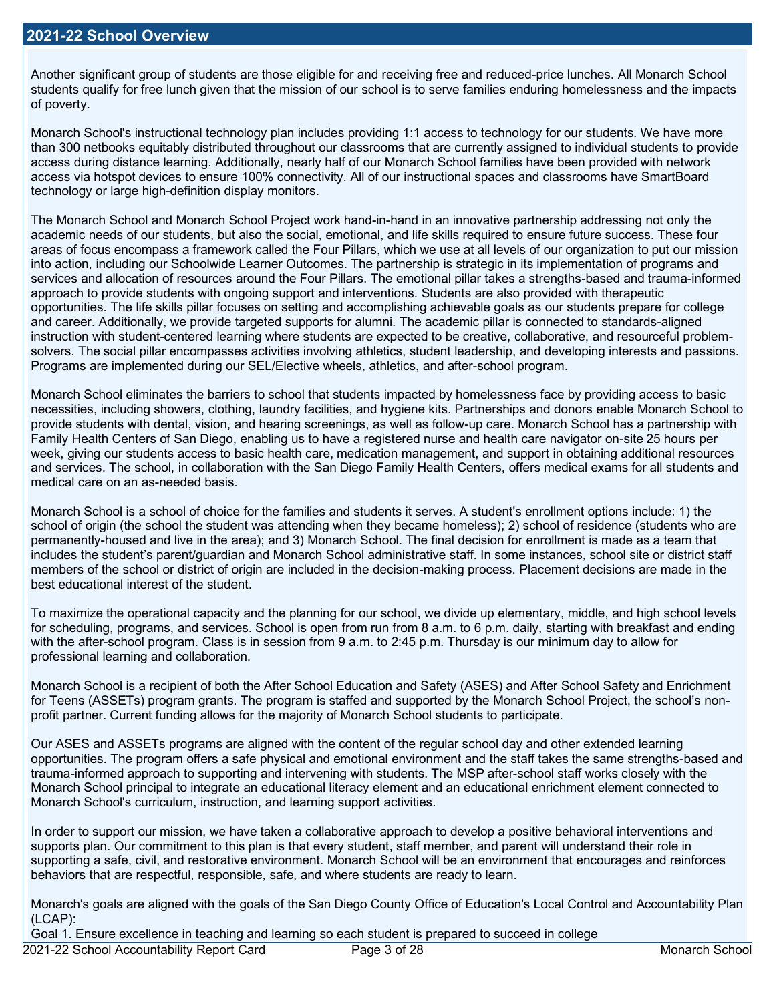Another significant group of students are those eligible for and receiving free and reduced-price lunches. All Monarch School students qualify for free lunch given that the mission of our school is to serve families enduring homelessness and the impacts of poverty.

Monarch School's instructional technology plan includes providing 1:1 access to technology for our students. We have more than 300 netbooks equitably distributed throughout our classrooms that are currently assigned to individual students to provide access during distance learning. Additionally, nearly half of our Monarch School families have been provided with network access via hotspot devices to ensure 100% connectivity. All of our instructional spaces and classrooms have SmartBoard technology or large high-definition display monitors.

The Monarch School and Monarch School Project work hand-in-hand in an innovative partnership addressing not only the academic needs of our students, but also the social, emotional, and life skills required to ensure future success. These four areas of focus encompass a framework called the Four Pillars, which we use at all levels of our organization to put our mission into action, including our Schoolwide Learner Outcomes. The partnership is strategic in its implementation of programs and services and allocation of resources around the Four Pillars. The emotional pillar takes a strengths-based and trauma-informed approach to provide students with ongoing support and interventions. Students are also provided with therapeutic opportunities. The life skills pillar focuses on setting and accomplishing achievable goals as our students prepare for college and career. Additionally, we provide targeted supports for alumni. The academic pillar is connected to standards-aligned instruction with student-centered learning where students are expected to be creative, collaborative, and resourceful problemsolvers. The social pillar encompasses activities involving athletics, student leadership, and developing interests and passions. Programs are implemented during our SEL/Elective wheels, athletics, and after-school program.

Monarch School eliminates the barriers to school that students impacted by homelessness face by providing access to basic necessities, including showers, clothing, laundry facilities, and hygiene kits. Partnerships and donors enable Monarch School to provide students with dental, vision, and hearing screenings, as well as follow-up care. Monarch School has a partnership with Family Health Centers of San Diego, enabling us to have a registered nurse and health care navigator on-site 25 hours per week, giving our students access to basic health care, medication management, and support in obtaining additional resources and services. The school, in collaboration with the San Diego Family Health Centers, offers medical exams for all students and medical care on an as-needed basis.

Monarch School is a school of choice for the families and students it serves. A student's enrollment options include: 1) the school of origin (the school the student was attending when they became homeless); 2) school of residence (students who are permanently-housed and live in the area); and 3) Monarch School. The final decision for enrollment is made as a team that includes the student's parent/guardian and Monarch School administrative staff. In some instances, school site or district staff members of the school or district of origin are included in the decision-making process. Placement decisions are made in the best educational interest of the student.

To maximize the operational capacity and the planning for our school, we divide up elementary, middle, and high school levels for scheduling, programs, and services. School is open from run from 8 a.m. to 6 p.m. daily, starting with breakfast and ending with the after-school program. Class is in session from 9 a.m. to 2:45 p.m. Thursday is our minimum day to allow for professional learning and collaboration.

Monarch School is a recipient of both the After School Education and Safety (ASES) and After School Safety and Enrichment for Teens (ASSETs) program grants. The program is staffed and supported by the Monarch School Project, the school's nonprofit partner. Current funding allows for the majority of Monarch School students to participate.

Our ASES and ASSETs programs are aligned with the content of the regular school day and other extended learning opportunities. The program offers a safe physical and emotional environment and the staff takes the same strengths-based and trauma-informed approach to supporting and intervening with students. The MSP after-school staff works closely with the Monarch School principal to integrate an educational literacy element and an educational enrichment element connected to Monarch School's curriculum, instruction, and learning support activities.

In order to support our mission, we have taken a collaborative approach to develop a positive behavioral interventions and supports plan. Our commitment to this plan is that every student, staff member, and parent will understand their role in supporting a safe, civil, and restorative environment. Monarch School will be an environment that encourages and reinforces behaviors that are respectful, responsible, safe, and where students are ready to learn.

Monarch's goals are aligned with the goals of the San Diego County Office of Education's Local Control and Accountability Plan (LCAP):

Goal 1. Ensure excellence in teaching and learning so each student is prepared to succeed in college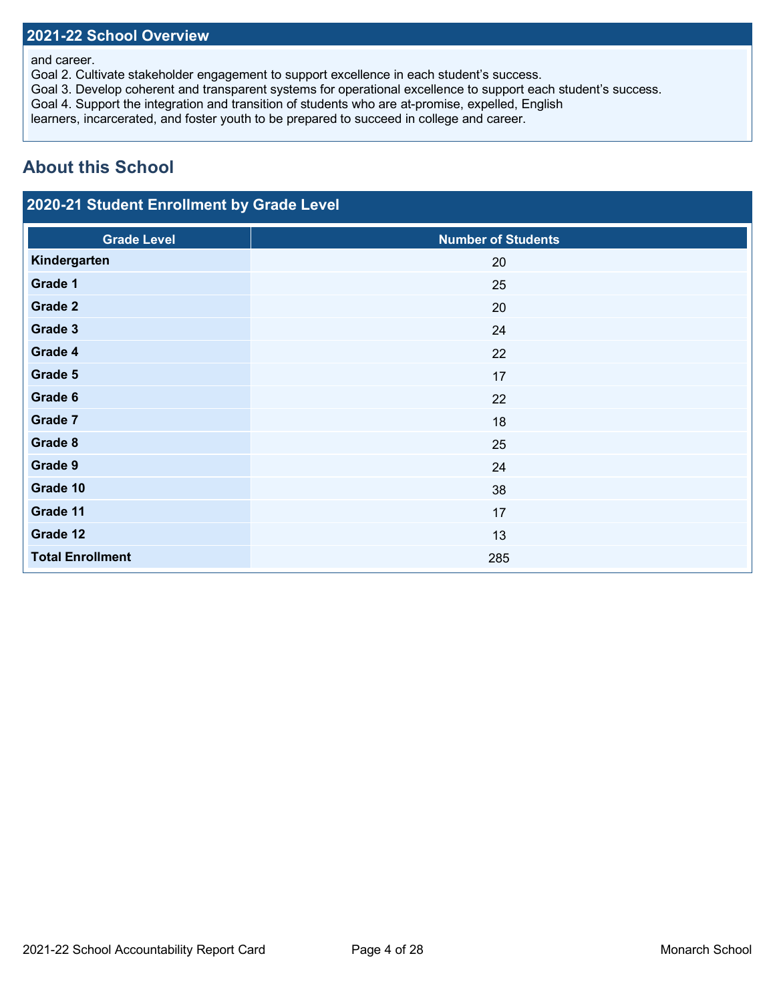### **2021-22 School Overview**

### and career.

Goal 2. Cultivate stakeholder engagement to support excellence in each student's success.

Goal 3. Develop coherent and transparent systems for operational excellence to support each student's success.

Goal 4. Support the integration and transition of students who are at-promise, expelled, English

learners, incarcerated, and foster youth to be prepared to succeed in college and career.

## **About this School**

## **2020-21 Student Enrollment by Grade Level**

| <b>Grade Level</b>      | <b>Number of Students</b> |
|-------------------------|---------------------------|
| Kindergarten            | 20                        |
| Grade 1                 | 25                        |
| Grade 2                 | 20                        |
| Grade 3                 | 24                        |
| Grade 4                 | 22                        |
| Grade 5                 | 17                        |
| Grade 6                 | 22                        |
| Grade 7                 | 18                        |
| Grade 8                 | 25                        |
| Grade 9                 | 24                        |
| Grade 10                | 38                        |
| Grade 11                | 17                        |
| Grade 12                | 13                        |
| <b>Total Enrollment</b> | 285                       |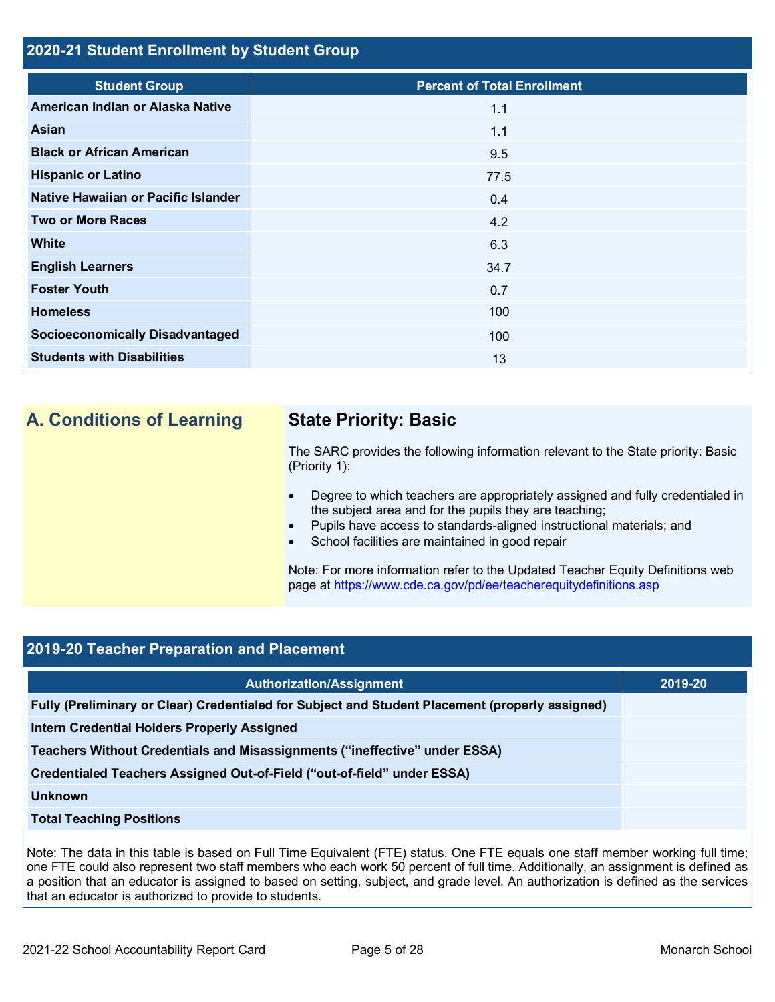### **2020-21 Student Enrollment by Student Group**

| <b>Student Group</b>                   | <b>Percent of Total Enrollment</b> |
|----------------------------------------|------------------------------------|
| American Indian or Alaska Native       | 1.1                                |
| Asian                                  | 1.1                                |
| <b>Black or African American</b>       | 9.5                                |
| <b>Hispanic or Latino</b>              | 77.5                               |
| Native Hawaiian or Pacific Islander    | 0.4                                |
| <b>Two or More Races</b>               | 4.2                                |
| <b>White</b>                           | 6.3                                |
| <b>English Learners</b>                | 34.7                               |
| <b>Foster Youth</b>                    | 0.7                                |
| <b>Homeless</b>                        | 100                                |
| <b>Socioeconomically Disadvantaged</b> | 100                                |
| <b>Students with Disabilities</b>      | 13                                 |

## **A. Conditions of Learning State Priority: Basic**

The SARC provides the following information relevant to the State priority: Basic (Priority 1):

- Degree to which teachers are appropriately assigned and fully credentialed in the subject area and for the pupils they are teaching;
- Pupils have access to standards-aligned instructional materials; and
- School facilities are maintained in good repair

Note: For more information refer to the Updated Teacher Equity Definitions web page at<https://www.cde.ca.gov/pd/ee/teacherequitydefinitions.asp>

### **2019-20 Teacher Preparation and Placement**

| <b>Authorization/Assignment</b>                                                                 | 2019-20 |
|-------------------------------------------------------------------------------------------------|---------|
| Fully (Preliminary or Clear) Credentialed for Subject and Student Placement (properly assigned) |         |
| Intern Credential Holders Properly Assigned                                                     |         |
| Teachers Without Credentials and Misassignments ("ineffective" under ESSA)                      |         |
| Credentialed Teachers Assigned Out-of-Field ("out-of-field" under ESSA)                         |         |
| <b>Unknown</b>                                                                                  |         |
| <b>Total Teaching Positions</b>                                                                 |         |

Note: The data in this table is based on Full Time Equivalent (FTE) status. One FTE equals one staff member working full time; one FTE could also represent two staff members who each work 50 percent of full time. Additionally, an assignment is defined as a position that an educator is assigned to based on setting, subject, and grade level. An authorization is defined as the services that an educator is authorized to provide to students.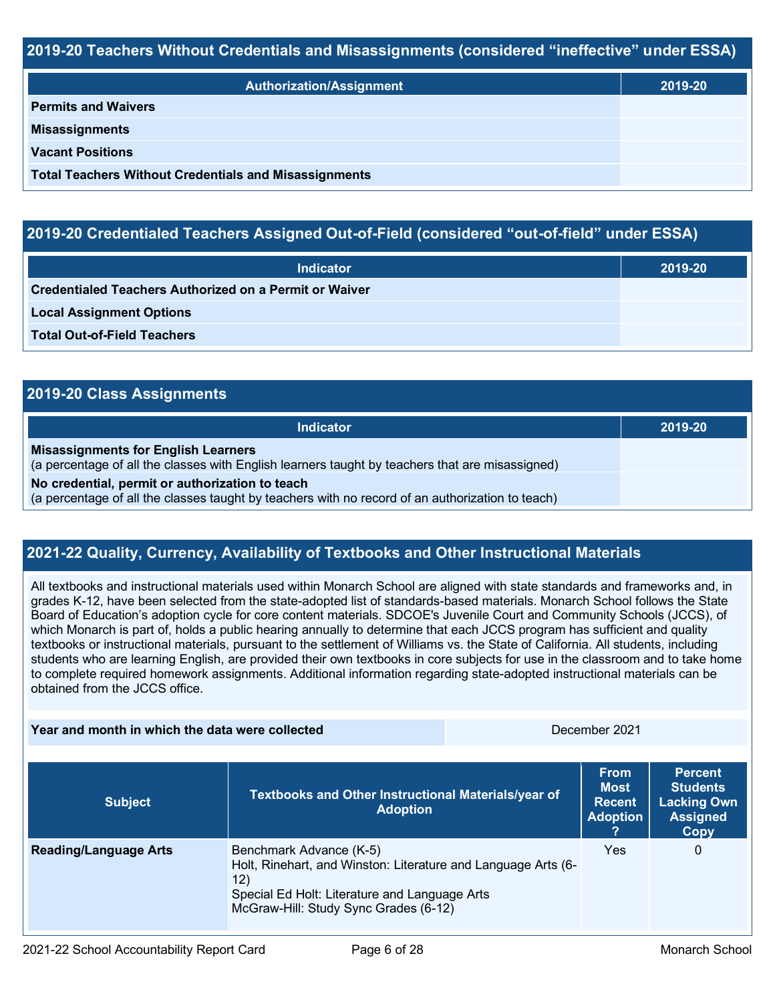### **2019-20 Teachers Without Credentials and Misassignments (considered "ineffective" under ESSA)**

| <b>Authorization/Assignment</b>                              | 2019-20 |
|--------------------------------------------------------------|---------|
| <b>Permits and Waivers</b>                                   |         |
| <b>Misassignments</b>                                        |         |
| <b>Vacant Positions</b>                                      |         |
| <b>Total Teachers Without Credentials and Misassignments</b> |         |

### **2019-20 Credentialed Teachers Assigned Out-of-Field (considered "out-of-field" under ESSA)**

| <b>Indicator</b>                                              | 2019-20 |
|---------------------------------------------------------------|---------|
| <b>Credentialed Teachers Authorized on a Permit or Waiver</b> |         |
| <b>Local Assignment Options</b>                               |         |
| <b>Total Out-of-Field Teachers</b>                            |         |

| 2019-20 Class Assignments                                                                                                                           |         |  |  |  |  |
|-----------------------------------------------------------------------------------------------------------------------------------------------------|---------|--|--|--|--|
| <b>Indicator</b>                                                                                                                                    | 2019-20 |  |  |  |  |
| <b>Misassignments for English Learners</b><br>(a percentage of all the classes with English learners taught by teachers that are misassigned)       |         |  |  |  |  |
| No credential, permit or authorization to teach<br>(a percentage of all the classes taught by teachers with no record of an authorization to teach) |         |  |  |  |  |

### **2021-22 Quality, Currency, Availability of Textbooks and Other Instructional Materials**

All textbooks and instructional materials used within Monarch School are aligned with state standards and frameworks and, in grades K-12, have been selected from the state-adopted list of standards-based materials. Monarch School follows the State Board of Education's adoption cycle for core content materials. SDCOE's Juvenile Court and Community Schools (JCCS), of which Monarch is part of, holds a public hearing annually to determine that each JCCS program has sufficient and quality textbooks or instructional materials, pursuant to the settlement of Williams vs. the State of California. All students, including students who are learning English, are provided their own textbooks in core subjects for use in the classroom and to take home to complete required homework assignments. Additional information regarding state-adopted instructional materials can be obtained from the JCCS office.

**Year and month in which the data were collected** December 2021

| <b>Subject</b>               | Textbooks and Other Instructional Materials/year of<br><b>Adoption</b>                                                                                                                    | <b>From</b><br><b>Most</b><br><b>Recent</b><br><b>Adoption</b> | <b>Percent</b><br><b>Students</b><br><b>Lacking Own</b><br><b>Assigned</b><br><b>Copy</b> |  |
|------------------------------|-------------------------------------------------------------------------------------------------------------------------------------------------------------------------------------------|----------------------------------------------------------------|-------------------------------------------------------------------------------------------|--|
| <b>Reading/Language Arts</b> | Benchmark Advance (K-5)<br>Holt, Rinehart, and Winston: Literature and Language Arts (6-<br>12)<br>Special Ed Holt: Literature and Language Arts<br>McGraw-Hill: Study Sync Grades (6-12) | Yes                                                            | 0                                                                                         |  |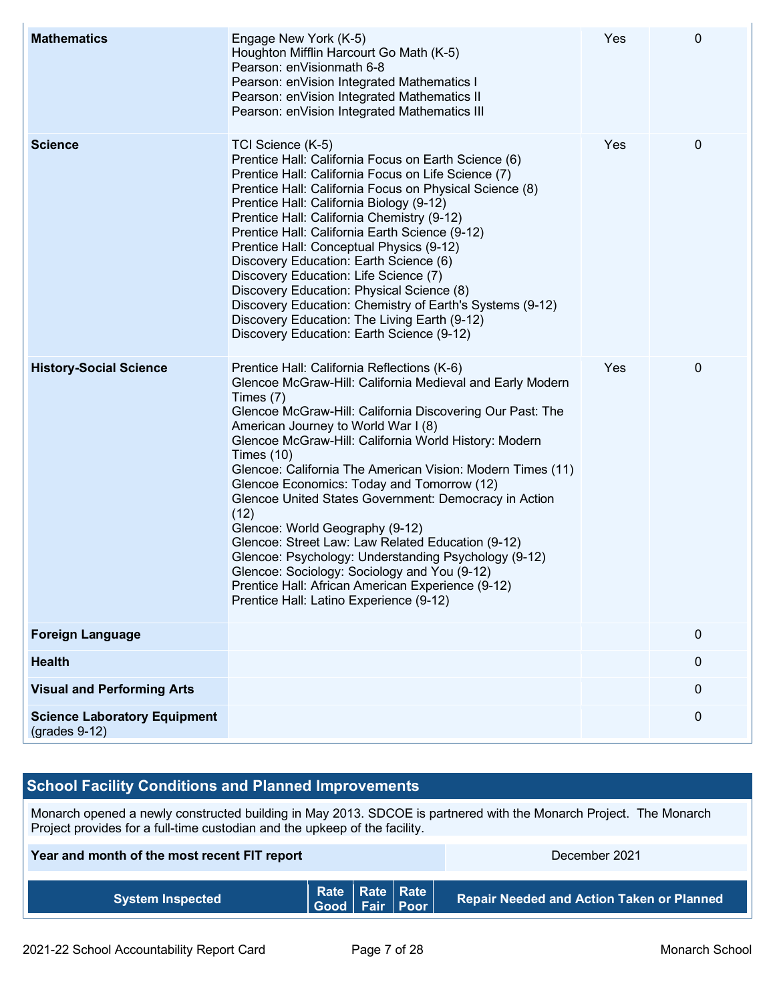| <b>Mathematics</b>                                     | Engage New York (K-5)<br>Houghton Mifflin Harcourt Go Math (K-5)<br>Pearson: enVisionmath 6-8<br>Pearson: enVision Integrated Mathematics I<br>Pearson: enVision Integrated Mathematics II<br>Pearson: enVision Integrated Mathematics III                                                                                                                                                                                                                                                                                                                                                                                                                                                                                                                                        | Yes | 0           |
|--------------------------------------------------------|-----------------------------------------------------------------------------------------------------------------------------------------------------------------------------------------------------------------------------------------------------------------------------------------------------------------------------------------------------------------------------------------------------------------------------------------------------------------------------------------------------------------------------------------------------------------------------------------------------------------------------------------------------------------------------------------------------------------------------------------------------------------------------------|-----|-------------|
| <b>Science</b>                                         | TCI Science (K-5)<br>Prentice Hall: California Focus on Earth Science (6)<br>Prentice Hall: California Focus on Life Science (7)<br>Prentice Hall: California Focus on Physical Science (8)<br>Prentice Hall: California Biology (9-12)<br>Prentice Hall: California Chemistry (9-12)<br>Prentice Hall: California Earth Science (9-12)<br>Prentice Hall: Conceptual Physics (9-12)<br>Discovery Education: Earth Science (6)<br>Discovery Education: Life Science (7)<br>Discovery Education: Physical Science (8)<br>Discovery Education: Chemistry of Earth's Systems (9-12)<br>Discovery Education: The Living Earth (9-12)<br>Discovery Education: Earth Science (9-12)                                                                                                      | Yes | $\pmb{0}$   |
| <b>History-Social Science</b>                          | Prentice Hall: California Reflections (K-6)<br>Glencoe McGraw-Hill: California Medieval and Early Modern<br>Times $(7)$<br>Glencoe McGraw-Hill: California Discovering Our Past: The<br>American Journey to World War I (8)<br>Glencoe McGraw-Hill: California World History: Modern<br>Times $(10)$<br>Glencoe: California The American Vision: Modern Times (11)<br>Glencoe Economics: Today and Tomorrow (12)<br>Glencoe United States Government: Democracy in Action<br>(12)<br>Glencoe: World Geography (9-12)<br>Glencoe: Street Law: Law Related Education (9-12)<br>Glencoe: Psychology: Understanding Psychology (9-12)<br>Glencoe: Sociology: Sociology and You (9-12)<br>Prentice Hall: African American Experience (9-12)<br>Prentice Hall: Latino Experience (9-12) | Yes | 0           |
| <b>Foreign Language</b>                                |                                                                                                                                                                                                                                                                                                                                                                                                                                                                                                                                                                                                                                                                                                                                                                                   |     | $\mathbf 0$ |
| <b>Health</b>                                          |                                                                                                                                                                                                                                                                                                                                                                                                                                                                                                                                                                                                                                                                                                                                                                                   |     | $\pmb{0}$   |
| <b>Visual and Performing Arts</b>                      |                                                                                                                                                                                                                                                                                                                                                                                                                                                                                                                                                                                                                                                                                                                                                                                   |     | 0           |
| <b>Science Laboratory Equipment</b><br>$(grades 9-12)$ |                                                                                                                                                                                                                                                                                                                                                                                                                                                                                                                                                                                                                                                                                                                                                                                   |     | $\pmb{0}$   |

## **School Facility Conditions and Planned Improvements**

Monarch opened a newly constructed building in May 2013. SDCOE is partnered with the Monarch Project. The Monarch Project provides for a full-time custodian and the upkeep of the facility.

| Year and month of the most recent FIT report |  |  | December 2021                                |                                                  |  |
|----------------------------------------------|--|--|----------------------------------------------|--------------------------------------------------|--|
| <b>System Inspected</b>                      |  |  | Rate   Rate   Rate  <br>  Good   Fair   Poor | <b>Repair Needed and Action Taken or Planned</b> |  |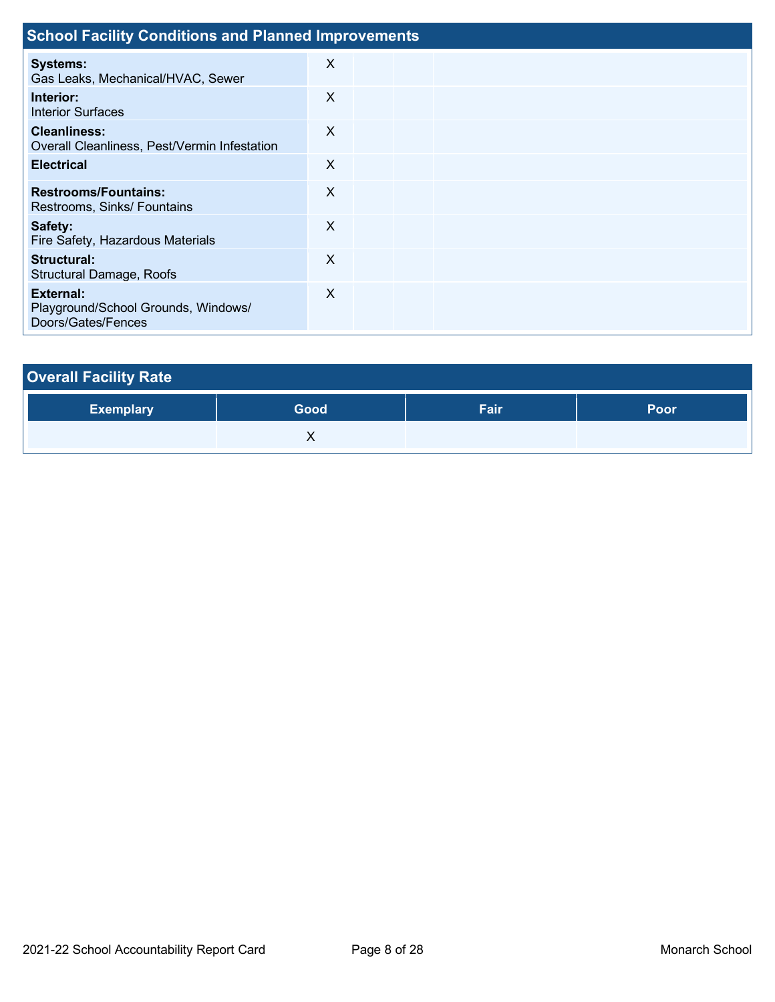| <b>School Facility Conditions and Planned Improvements</b>             |          |  |  |  |  |  |
|------------------------------------------------------------------------|----------|--|--|--|--|--|
| <b>Systems:</b><br>Gas Leaks, Mechanical/HVAC, Sewer                   | X        |  |  |  |  |  |
| Interior:<br><b>Interior Surfaces</b>                                  | X        |  |  |  |  |  |
| <b>Cleanliness:</b><br>Overall Cleanliness, Pest/Vermin Infestation    | X        |  |  |  |  |  |
| <b>Electrical</b>                                                      | X        |  |  |  |  |  |
| <b>Restrooms/Fountains:</b><br>Restrooms, Sinks/ Fountains             | X        |  |  |  |  |  |
| Safety:<br>Fire Safety, Hazardous Materials                            | $\times$ |  |  |  |  |  |
| Structural:<br><b>Structural Damage, Roofs</b>                         | $\times$ |  |  |  |  |  |
| External:<br>Playground/School Grounds, Windows/<br>Doors/Gates/Fences | $\times$ |  |  |  |  |  |

| <b>Overall Facility Rate</b> |      |      |             |
|------------------------------|------|------|-------------|
| <b>Exemplary</b>             | Good | Fair | <b>Poor</b> |
|                              |      |      |             |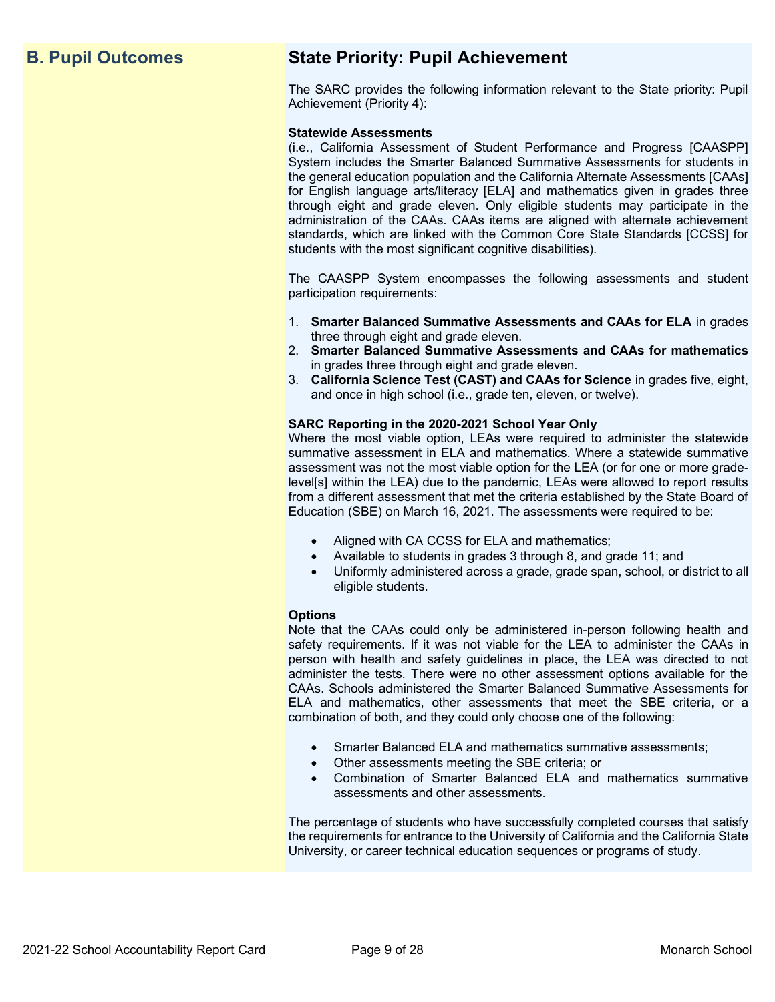## **B. Pupil Outcomes State Priority: Pupil Achievement**

The SARC provides the following information relevant to the State priority: Pupil Achievement (Priority 4):

### **Statewide Assessments**

(i.e., California Assessment of Student Performance and Progress [CAASPP] System includes the Smarter Balanced Summative Assessments for students in the general education population and the California Alternate Assessments [CAAs] for English language arts/literacy [ELA] and mathematics given in grades three through eight and grade eleven. Only eligible students may participate in the administration of the CAAs. CAAs items are aligned with alternate achievement standards, which are linked with the Common Core State Standards [CCSS] for students with the most significant cognitive disabilities).

The CAASPP System encompasses the following assessments and student participation requirements:

- 1. **Smarter Balanced Summative Assessments and CAAs for ELA** in grades three through eight and grade eleven.
- 2. **Smarter Balanced Summative Assessments and CAAs for mathematics** in grades three through eight and grade eleven.
- 3. **California Science Test (CAST) and CAAs for Science** in grades five, eight, and once in high school (i.e., grade ten, eleven, or twelve).

### **SARC Reporting in the 2020-2021 School Year Only**

Where the most viable option, LEAs were required to administer the statewide summative assessment in ELA and mathematics. Where a statewide summative assessment was not the most viable option for the LEA (or for one or more gradelevel[s] within the LEA) due to the pandemic, LEAs were allowed to report results from a different assessment that met the criteria established by the State Board of Education (SBE) on March 16, 2021. The assessments were required to be:

- Aligned with CA CCSS for ELA and mathematics;
- Available to students in grades 3 through 8, and grade 11; and
- Uniformly administered across a grade, grade span, school, or district to all eligible students.

### **Options**

Note that the CAAs could only be administered in-person following health and safety requirements. If it was not viable for the LEA to administer the CAAs in person with health and safety guidelines in place, the LEA was directed to not administer the tests. There were no other assessment options available for the CAAs. Schools administered the Smarter Balanced Summative Assessments for ELA and mathematics, other assessments that meet the SBE criteria, or a combination of both, and they could only choose one of the following:

- Smarter Balanced ELA and mathematics summative assessments;
- Other assessments meeting the SBE criteria; or
- Combination of Smarter Balanced ELA and mathematics summative assessments and other assessments.

The percentage of students who have successfully completed courses that satisfy the requirements for entrance to the University of California and the California State University, or career technical education sequences or programs of study.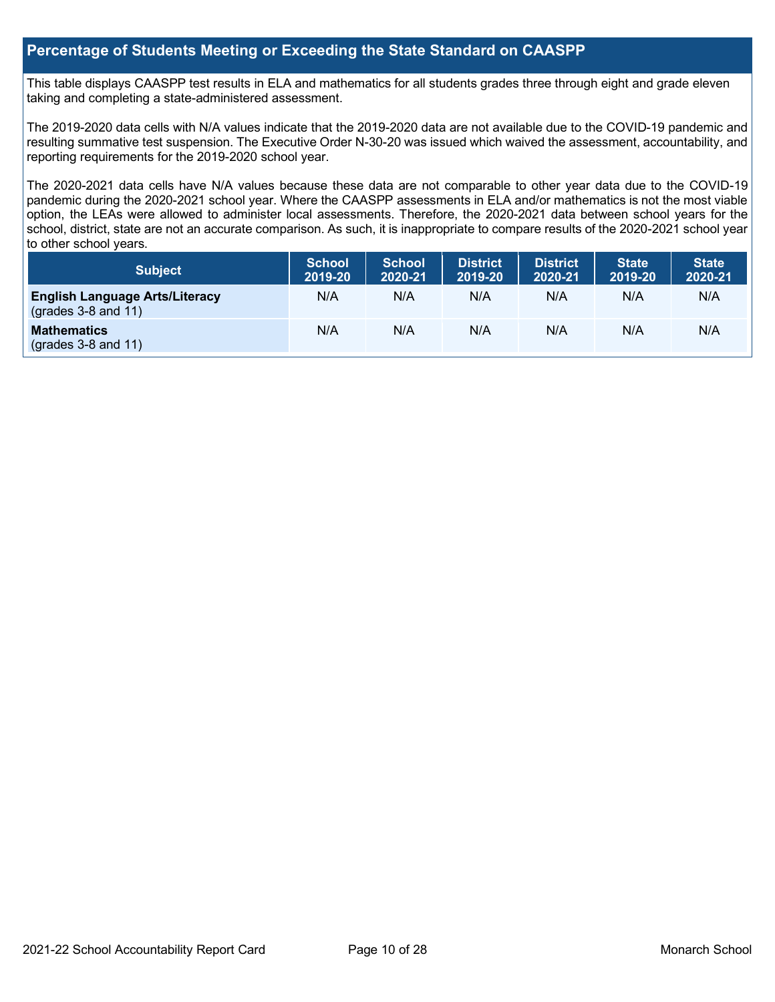### **Percentage of Students Meeting or Exceeding the State Standard on CAASPP**

This table displays CAASPP test results in ELA and mathematics for all students grades three through eight and grade eleven taking and completing a state-administered assessment.

The 2019-2020 data cells with N/A values indicate that the 2019-2020 data are not available due to the COVID-19 pandemic and resulting summative test suspension. The Executive Order N-30-20 was issued which waived the assessment, accountability, and reporting requirements for the 2019-2020 school year.

The 2020-2021 data cells have N/A values because these data are not comparable to other year data due to the COVID-19 pandemic during the 2020-2021 school year. Where the CAASPP assessments in ELA and/or mathematics is not the most viable option, the LEAs were allowed to administer local assessments. Therefore, the 2020-2021 data between school years for the school, district, state are not an accurate comparison. As such, it is inappropriate to compare results of the 2020-2021 school year to other school years.

| <b>Subject</b>                                                 | <b>School</b><br>2019-20 | <b>School</b><br>2020-21 | <b>District</b><br>2019-20 | <b>District</b><br>2020-21 | <b>State</b><br>2019-20 | <b>State</b><br>2020-21 |
|----------------------------------------------------------------|--------------------------|--------------------------|----------------------------|----------------------------|-------------------------|-------------------------|
| <b>English Language Arts/Literacy</b><br>$(grades 3-8 and 11)$ | N/A                      | N/A                      | N/A                        | N/A                        | N/A                     | N/A                     |
| <b>Mathematics</b><br>$(grades 3-8 and 11)$                    | N/A                      | N/A                      | N/A                        | N/A                        | N/A                     | N/A                     |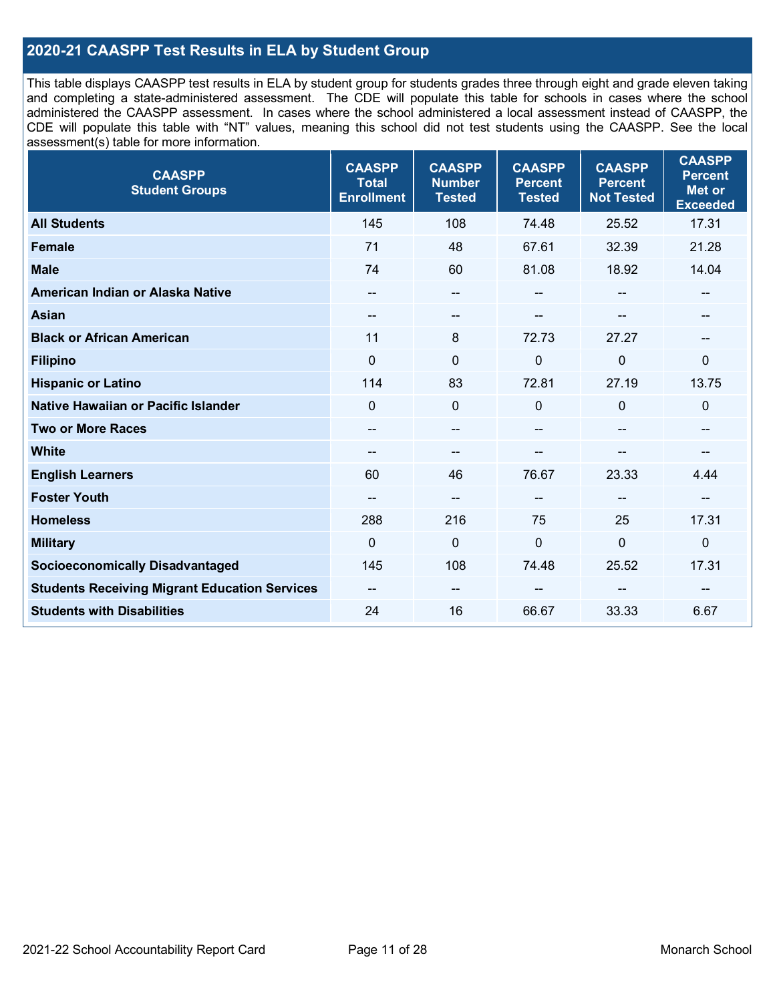### **2020-21 CAASPP Test Results in ELA by Student Group**

This table displays CAASPP test results in ELA by student group for students grades three through eight and grade eleven taking and completing a state-administered assessment. The CDE will populate this table for schools in cases where the school administered the CAASPP assessment. In cases where the school administered a local assessment instead of CAASPP, the CDE will populate this table with "NT" values, meaning this school did not test students using the CAASPP. See the local assessment(s) table for more information.

| <b>CAASPP</b><br><b>Student Groups</b>               | <b>CAASPP</b><br><b>Total</b><br><b>Enrollment</b> | <b>CAASPP</b><br><b>Number</b><br><b>Tested</b> | <b>CAASPP</b><br><b>Percent</b><br><b>Tested</b> | <b>CAASPP</b><br><b>Percent</b><br><b>Not Tested</b> | <b>CAASPP</b><br><b>Percent</b><br><b>Met or</b><br><b>Exceeded</b> |
|------------------------------------------------------|----------------------------------------------------|-------------------------------------------------|--------------------------------------------------|------------------------------------------------------|---------------------------------------------------------------------|
| <b>All Students</b>                                  | 145                                                | 108                                             | 74.48                                            | 25.52                                                | 17.31                                                               |
| Female                                               | 71                                                 | 48                                              | 67.61                                            | 32.39                                                | 21.28                                                               |
| <b>Male</b>                                          | 74                                                 | 60                                              | 81.08                                            | 18.92                                                | 14.04                                                               |
| American Indian or Alaska Native                     | --                                                 | $\overline{\phantom{a}}$                        | --                                               | $\sim$                                               | --                                                                  |
| <b>Asian</b>                                         |                                                    | --                                              |                                                  |                                                      |                                                                     |
| <b>Black or African American</b>                     | 11                                                 | 8                                               | 72.73                                            | 27.27                                                | $\overline{\phantom{m}}$                                            |
| <b>Filipino</b>                                      | $\mathbf 0$                                        | $\mathbf 0$                                     | 0                                                | 0                                                    | $\mathbf 0$                                                         |
| <b>Hispanic or Latino</b>                            | 114                                                | 83                                              | 72.81                                            | 27.19                                                | 13.75                                                               |
| Native Hawaiian or Pacific Islander                  | $\Omega$                                           | $\mathbf 0$                                     | $\Omega$                                         | $\mathbf 0$                                          | $\mathbf 0$                                                         |
| <b>Two or More Races</b>                             | $\overline{\phantom{m}}$                           | $-$                                             | --                                               | --                                                   | $\overline{\phantom{a}}$                                            |
| <b>White</b>                                         | $\overline{\phantom{a}}$                           | $\sim$                                          | --                                               | --                                                   |                                                                     |
| <b>English Learners</b>                              | 60                                                 | 46                                              | 76.67                                            | 23.33                                                | 4.44                                                                |
| <b>Foster Youth</b>                                  | $\overline{a}$                                     | $\overline{a}$                                  | --                                               | --                                                   | --                                                                  |
| <b>Homeless</b>                                      | 288                                                | 216                                             | 75                                               | 25                                                   | 17.31                                                               |
| <b>Military</b>                                      | $\Omega$                                           | $\mathbf 0$                                     | $\mathbf 0$                                      | 0                                                    | $\mathbf 0$                                                         |
| <b>Socioeconomically Disadvantaged</b>               | 145                                                | 108                                             | 74.48                                            | 25.52                                                | 17.31                                                               |
| <b>Students Receiving Migrant Education Services</b> | $\overline{\phantom{a}}$                           | --                                              |                                                  | --                                                   |                                                                     |
| <b>Students with Disabilities</b>                    | 24                                                 | 16                                              | 66.67                                            | 33.33                                                | 6.67                                                                |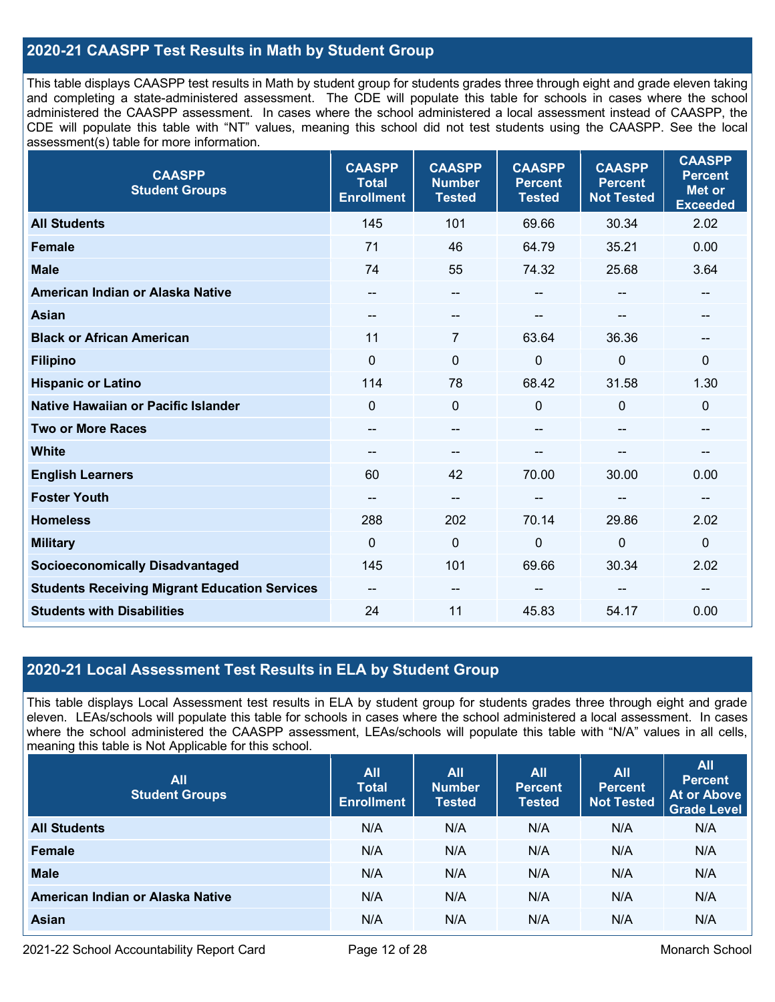### **2020-21 CAASPP Test Results in Math by Student Group**

This table displays CAASPP test results in Math by student group for students grades three through eight and grade eleven taking and completing a state-administered assessment. The CDE will populate this table for schools in cases where the school administered the CAASPP assessment. In cases where the school administered a local assessment instead of CAASPP, the CDE will populate this table with "NT" values, meaning this school did not test students using the CAASPP. See the local assessment(s) table for more information.

| <b>CAASPP</b><br><b>Student Groups</b>               | <b>CAASPP</b><br><b>Total</b><br><b>Enrollment</b> | <b>CAASPP</b><br><b>Number</b><br><b>Tested</b> | <b>CAASPP</b><br><b>Percent</b><br><b>Tested</b> | <b>CAASPP</b><br><b>Percent</b><br><b>Not Tested</b> | <b>CAASPP</b><br><b>Percent</b><br><b>Met or</b><br><b>Exceeded</b> |
|------------------------------------------------------|----------------------------------------------------|-------------------------------------------------|--------------------------------------------------|------------------------------------------------------|---------------------------------------------------------------------|
| <b>All Students</b>                                  | 145                                                | 101                                             | 69.66                                            | 30.34                                                | 2.02                                                                |
| <b>Female</b>                                        | 71                                                 | 46                                              | 64.79                                            | 35.21                                                | 0.00                                                                |
| <b>Male</b>                                          | 74                                                 | 55                                              | 74.32                                            | 25.68                                                | 3.64                                                                |
| American Indian or Alaska Native                     | --                                                 | $-$                                             | $\overline{a}$                                   | $-$                                                  | $\hspace{0.05cm}$                                                   |
| <b>Asian</b>                                         |                                                    | --                                              |                                                  |                                                      |                                                                     |
| <b>Black or African American</b>                     | 11                                                 | 7                                               | 63.64                                            | 36.36                                                | $\overline{\phantom{m}}$                                            |
| <b>Filipino</b>                                      | $\Omega$                                           | $\mathbf 0$                                     | $\mathbf 0$                                      | 0                                                    | $\mathbf 0$                                                         |
| <b>Hispanic or Latino</b>                            | 114                                                | 78                                              | 68.42                                            | 31.58                                                | 1.30                                                                |
| Native Hawaiian or Pacific Islander                  | $\Omega$                                           | 0                                               | $\mathbf{0}$                                     | $\Omega$                                             | $\mathbf 0$                                                         |
| <b>Two or More Races</b>                             | --                                                 | --                                              | --                                               | --                                                   | --                                                                  |
| <b>White</b>                                         |                                                    | --                                              |                                                  |                                                      | --                                                                  |
| <b>English Learners</b>                              | 60                                                 | 42                                              | 70.00                                            | 30.00                                                | 0.00                                                                |
| <b>Foster Youth</b>                                  |                                                    | $-$                                             |                                                  | --                                                   | --                                                                  |
| <b>Homeless</b>                                      | 288                                                | 202                                             | 70.14                                            | 29.86                                                | 2.02                                                                |
| <b>Military</b>                                      | $\mathbf 0$                                        | $\mathbf 0$                                     | $\mathbf 0$                                      | 0                                                    | $\mathbf 0$                                                         |
| <b>Socioeconomically Disadvantaged</b>               | 145                                                | 101                                             | 69.66                                            | 30.34                                                | 2.02                                                                |
| <b>Students Receiving Migrant Education Services</b> | $\overline{\phantom{a}}$                           | --                                              |                                                  |                                                      | --                                                                  |
| <b>Students with Disabilities</b>                    | 24                                                 | 11                                              | 45.83                                            | 54.17                                                | 0.00                                                                |

### **2020-21 Local Assessment Test Results in ELA by Student Group**

This table displays Local Assessment test results in ELA by student group for students grades three through eight and grade eleven. LEAs/schools will populate this table for schools in cases where the school administered a local assessment. In cases where the school administered the CAASPP assessment, LEAs/schools will populate this table with "N/A" values in all cells, meaning this table is Not Applicable for this school.

| <b>All</b><br><b>Student Groups</b> | <b>All</b><br><b>Total</b><br><b>Enrollment</b> | <b>All</b><br><b>Number</b><br><b>Tested</b> | <b>All</b><br><b>Percent</b><br><b>Tested</b> | <b>All</b><br>Percent<br>Not Tested | <b>All</b><br><b>Percent</b><br><b>At or Above</b><br><b>Grade Level</b> |
|-------------------------------------|-------------------------------------------------|----------------------------------------------|-----------------------------------------------|-------------------------------------|--------------------------------------------------------------------------|
| <b>All Students</b>                 | N/A                                             | N/A                                          | N/A                                           | N/A                                 | N/A                                                                      |
| Female                              | N/A                                             | N/A                                          | N/A                                           | N/A                                 | N/A                                                                      |
| <b>Male</b>                         | N/A                                             | N/A                                          | N/A                                           | N/A                                 | N/A                                                                      |
| American Indian or Alaska Native    | N/A                                             | N/A                                          | N/A                                           | N/A                                 | N/A                                                                      |
| Asian                               | N/A                                             | N/A                                          | N/A                                           | N/A                                 | N/A                                                                      |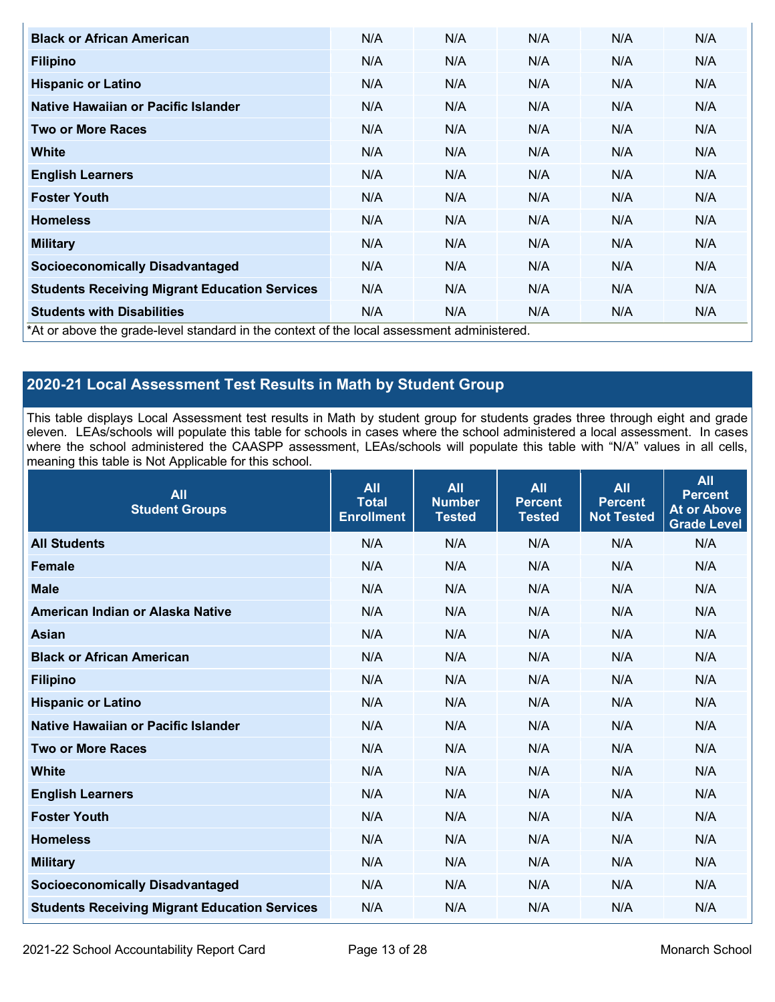| <b>Black or African American</b>                                                          | N/A | N/A | N/A | N/A | N/A |
|-------------------------------------------------------------------------------------------|-----|-----|-----|-----|-----|
| <b>Filipino</b>                                                                           | N/A | N/A | N/A | N/A | N/A |
| <b>Hispanic or Latino</b>                                                                 | N/A | N/A | N/A | N/A | N/A |
| Native Hawaiian or Pacific Islander                                                       | N/A | N/A | N/A | N/A | N/A |
| <b>Two or More Races</b>                                                                  | N/A | N/A | N/A | N/A | N/A |
| <b>White</b>                                                                              | N/A | N/A | N/A | N/A | N/A |
| <b>English Learners</b>                                                                   | N/A | N/A | N/A | N/A | N/A |
| <b>Foster Youth</b>                                                                       | N/A | N/A | N/A | N/A | N/A |
| <b>Homeless</b>                                                                           | N/A | N/A | N/A | N/A | N/A |
| <b>Military</b>                                                                           | N/A | N/A | N/A | N/A | N/A |
| <b>Socioeconomically Disadvantaged</b>                                                    | N/A | N/A | N/A | N/A | N/A |
| <b>Students Receiving Migrant Education Services</b>                                      | N/A | N/A | N/A | N/A | N/A |
| <b>Students with Disabilities</b>                                                         | N/A | N/A | N/A | N/A | N/A |
| *At or above the grade-level standard in the context of the local assessment administered |     |     |     |     |     |

for in the context of the loc

## **2020-21 Local Assessment Test Results in Math by Student Group**

This table displays Local Assessment test results in Math by student group for students grades three through eight and grade eleven. LEAs/schools will populate this table for schools in cases where the school administered a local assessment. In cases where the school administered the CAASPP assessment, LEAs/schools will populate this table with "N/A" values in all cells, meaning this table is Not Applicable for this school.

| <b>All</b><br><b>Student Groups</b>                  | <b>All</b><br><b>Total</b><br><b>Enrollment</b> | <b>All</b><br><b>Number</b><br><b>Tested</b> | <b>All</b><br><b>Percent</b><br><b>Tested</b> | <b>All</b><br><b>Percent</b><br><b>Not Tested</b> | <b>All</b><br><b>Percent</b><br><b>At or Above</b><br><b>Grade Level</b> |
|------------------------------------------------------|-------------------------------------------------|----------------------------------------------|-----------------------------------------------|---------------------------------------------------|--------------------------------------------------------------------------|
| <b>All Students</b>                                  | N/A                                             | N/A                                          | N/A                                           | N/A                                               | N/A                                                                      |
| <b>Female</b>                                        | N/A                                             | N/A                                          | N/A                                           | N/A                                               | N/A                                                                      |
| <b>Male</b>                                          | N/A                                             | N/A                                          | N/A                                           | N/A                                               | N/A                                                                      |
| American Indian or Alaska Native                     | N/A                                             | N/A                                          | N/A                                           | N/A                                               | N/A                                                                      |
| <b>Asian</b>                                         | N/A                                             | N/A                                          | N/A                                           | N/A                                               | N/A                                                                      |
| <b>Black or African American</b>                     | N/A                                             | N/A                                          | N/A                                           | N/A                                               | N/A                                                                      |
| <b>Filipino</b>                                      | N/A                                             | N/A                                          | N/A                                           | N/A                                               | N/A                                                                      |
| <b>Hispanic or Latino</b>                            | N/A                                             | N/A                                          | N/A                                           | N/A                                               | N/A                                                                      |
| Native Hawaiian or Pacific Islander                  | N/A                                             | N/A                                          | N/A                                           | N/A                                               | N/A                                                                      |
| <b>Two or More Races</b>                             | N/A                                             | N/A                                          | N/A                                           | N/A                                               | N/A                                                                      |
| <b>White</b>                                         | N/A                                             | N/A                                          | N/A                                           | N/A                                               | N/A                                                                      |
| <b>English Learners</b>                              | N/A                                             | N/A                                          | N/A                                           | N/A                                               | N/A                                                                      |
| <b>Foster Youth</b>                                  | N/A                                             | N/A                                          | N/A                                           | N/A                                               | N/A                                                                      |
| <b>Homeless</b>                                      | N/A                                             | N/A                                          | N/A                                           | N/A                                               | N/A                                                                      |
| <b>Military</b>                                      | N/A                                             | N/A                                          | N/A                                           | N/A                                               | N/A                                                                      |
| <b>Socioeconomically Disadvantaged</b>               | N/A                                             | N/A                                          | N/A                                           | N/A                                               | N/A                                                                      |
| <b>Students Receiving Migrant Education Services</b> | N/A                                             | N/A                                          | N/A                                           | N/A                                               | N/A                                                                      |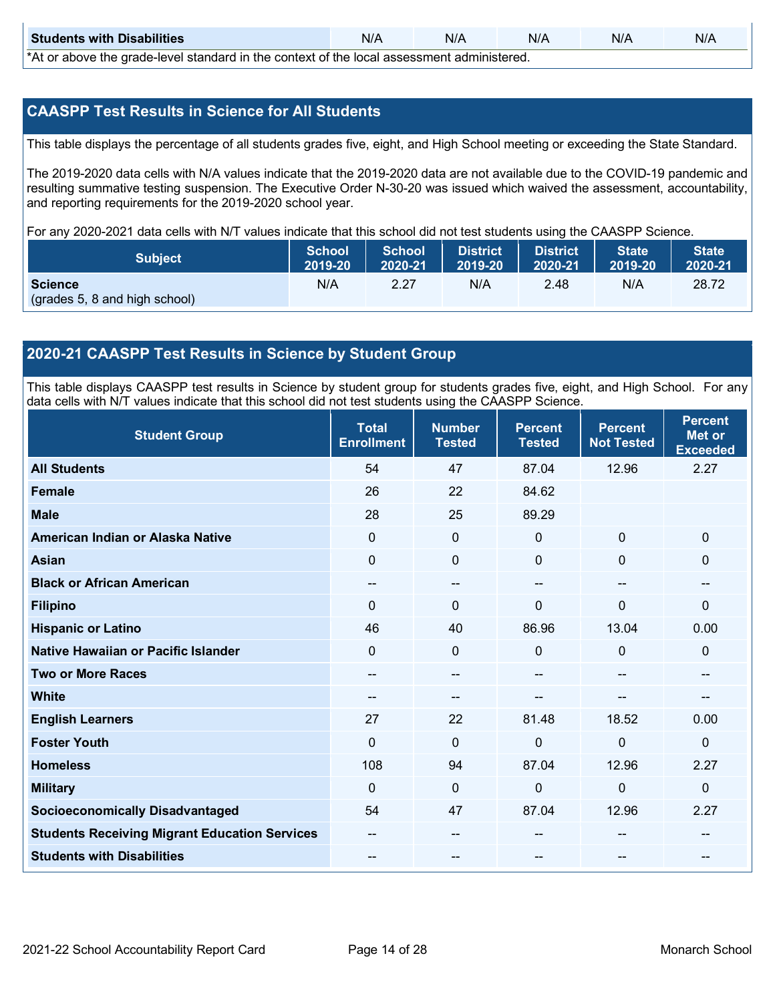| <b>Students with Disabilities</b>                                                                      | N/A | N/A | N/A | N/A | N/A |  |
|--------------------------------------------------------------------------------------------------------|-----|-----|-----|-----|-----|--|
| $*A + *A$ and $A - A$ and $A - A$ and $A - A$ and $A - A$ is the contact of the lead experiment of $A$ |     |     |     |     |     |  |

\*At or above the grade-level standard in the context of the local assessment administered.

### **CAASPP Test Results in Science for All Students**

This table displays the percentage of all students grades five, eight, and High School meeting or exceeding the State Standard.

The 2019-2020 data cells with N/A values indicate that the 2019-2020 data are not available due to the COVID-19 pandemic and resulting summative testing suspension. The Executive Order N-30-20 was issued which waived the assessment, accountability, and reporting requirements for the 2019-2020 school year.

For any 2020-2021 data cells with N/T values indicate that this school did not test students using the CAASPP Science.

| <b>Subject</b>                | <b>School</b><br>2019-20 | <b>School</b><br>2020-21 | <b>District</b><br>2019-20 | District<br>2020-21 | State <sup>1</sup><br>2019-20 | State <sup>1</sup><br>2020-21 |
|-------------------------------|--------------------------|--------------------------|----------------------------|---------------------|-------------------------------|-------------------------------|
| <b>Science</b>                | N/A                      | 2.27                     | N/A                        | 2.48                | N/A                           | 28.72                         |
| (grades 5, 8 and high school) |                          |                          |                            |                     |                               |                               |

### **2020-21 CAASPP Test Results in Science by Student Group**

This table displays CAASPP test results in Science by student group for students grades five, eight, and High School. For any data cells with N/T values indicate that this school did not test students using the CAASPP Science.

| <b>Student Group</b>                                 | <b>Total</b><br><b>Enrollment</b> | <b>Number</b><br><b>Tested</b> | <b>Percent</b><br><b>Tested</b> | <b>Percent</b><br><b>Not Tested</b> | <b>Percent</b><br><b>Met or</b><br><b>Exceeded</b> |
|------------------------------------------------------|-----------------------------------|--------------------------------|---------------------------------|-------------------------------------|----------------------------------------------------|
| <b>All Students</b>                                  | 54                                | 47                             | 87.04                           | 12.96                               | 2.27                                               |
| <b>Female</b>                                        | 26                                | 22                             | 84.62                           |                                     |                                                    |
| <b>Male</b>                                          | 28                                | 25                             | 89.29                           |                                     |                                                    |
| American Indian or Alaska Native                     | $\mathbf{0}$                      | $\mathbf 0$                    | $\mathbf 0$                     | $\mathbf 0$                         | $\mathbf{0}$                                       |
| <b>Asian</b>                                         | $\mathbf{0}$                      | 0                              | $\mathbf{0}$                    | $\mathbf{0}$                        | $\mathbf{0}$                                       |
| <b>Black or African American</b>                     | --                                | --                             |                                 | $-$                                 | --                                                 |
| <b>Filipino</b>                                      | $\Omega$                          | 0                              | $\mathbf{0}$                    | $\Omega$                            | 0                                                  |
| <b>Hispanic or Latino</b>                            | 46                                | 40                             | 86.96                           | 13.04                               | 0.00                                               |
| Native Hawaiian or Pacific Islander                  | $\Omega$                          | $\mathbf 0$                    | $\Omega$                        | $\mathbf{0}$                        | $\mathbf{0}$                                       |
| <b>Two or More Races</b>                             | --                                | --                             |                                 | --                                  | --                                                 |
| <b>White</b>                                         | --                                | --                             |                                 | --                                  | --                                                 |
| <b>English Learners</b>                              | 27                                | 22                             | 81.48                           | 18.52                               | 0.00                                               |
| <b>Foster Youth</b>                                  | 0                                 | $\mathbf 0$                    | $\mathbf 0$                     | $\mathbf 0$                         | $\mathbf{0}$                                       |
| <b>Homeless</b>                                      | 108                               | 94                             | 87.04                           | 12.96                               | 2.27                                               |
| <b>Military</b>                                      | $\mathbf{0}$                      | $\mathbf 0$                    | 0                               | $\mathbf 0$                         | $\mathbf 0$                                        |
| <b>Socioeconomically Disadvantaged</b>               | 54                                | 47                             | 87.04                           | 12.96                               | 2.27                                               |
| <b>Students Receiving Migrant Education Services</b> | --                                | --                             |                                 | --                                  |                                                    |
| <b>Students with Disabilities</b>                    |                                   | --                             |                                 |                                     | --                                                 |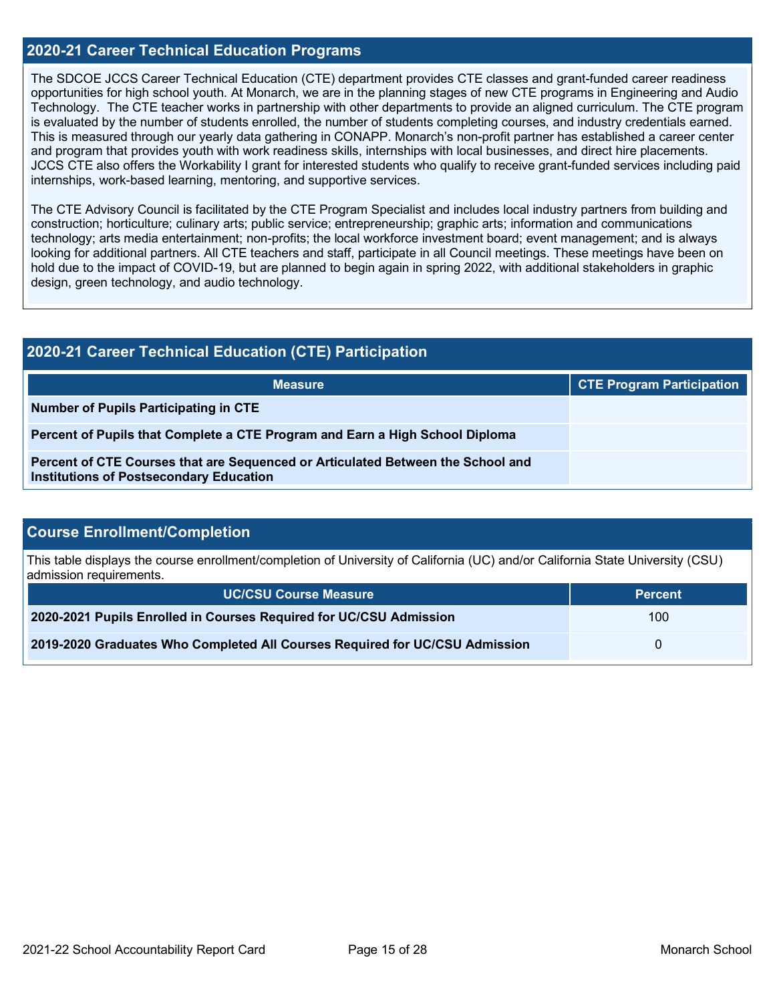### **2020-21 Career Technical Education Programs**

The SDCOE JCCS Career Technical Education (CTE) department provides CTE classes and grant-funded career readiness opportunities for high school youth. At Monarch, we are in the planning stages of new CTE programs in Engineering and Audio Technology. The CTE teacher works in partnership with other departments to provide an aligned curriculum. The CTE program is evaluated by the number of students enrolled, the number of students completing courses, and industry credentials earned. This is measured through our yearly data gathering in CONAPP. Monarch's non-profit partner has established a career center and program that provides youth with work readiness skills, internships with local businesses, and direct hire placements. JCCS CTE also offers the Workability I grant for interested students who qualify to receive grant-funded services including paid internships, work-based learning, mentoring, and supportive services.

The CTE Advisory Council is facilitated by the CTE Program Specialist and includes local industry partners from building and construction; horticulture; culinary arts; public service; entrepreneurship; graphic arts; information and communications technology; arts media entertainment; non-profits; the local workforce investment board; event management; and is always looking for additional partners. All CTE teachers and staff, participate in all Council meetings. These meetings have been on hold due to the impact of COVID-19, but are planned to begin again in spring 2022, with additional stakeholders in graphic design, green technology, and audio technology.

| <b>2020-21 Career Technical Education (CTE) Participation</b>                                                                     |                                  |  |  |  |
|-----------------------------------------------------------------------------------------------------------------------------------|----------------------------------|--|--|--|
| <b>Measure</b>                                                                                                                    | <b>CTE Program Participation</b> |  |  |  |
| Number of Pupils Participating in CTE                                                                                             |                                  |  |  |  |
| Percent of Pupils that Complete a CTE Program and Earn a High School Diploma                                                      |                                  |  |  |  |
| Percent of CTE Courses that are Sequenced or Articulated Between the School and<br><b>Institutions of Postsecondary Education</b> |                                  |  |  |  |

### **Course Enrollment/Completion**

This table displays the course enrollment/completion of University of California (UC) and/or California State University (CSU) admission requirements.

| <b>UC/CSU Course Measure</b>                                                | <b>Percent</b> |
|-----------------------------------------------------------------------------|----------------|
| 2020-2021 Pupils Enrolled in Courses Required for UC/CSU Admission          | 100            |
| 2019-2020 Graduates Who Completed All Courses Required for UC/CSU Admission |                |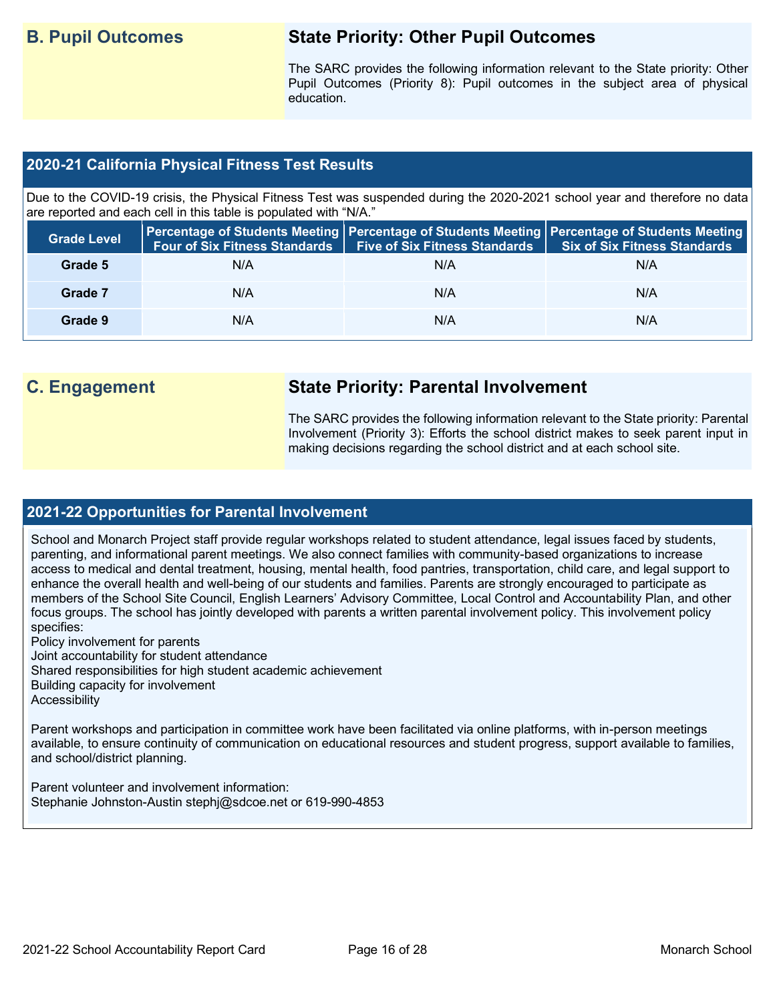## **B. Pupil Outcomes State Priority: Other Pupil Outcomes**

The SARC provides the following information relevant to the State priority: Other Pupil Outcomes (Priority 8): Pupil outcomes in the subject area of physical education.

### **2020-21 California Physical Fitness Test Results**

Due to the COVID-19 crisis, the Physical Fitness Test was suspended during the 2020-2021 school year and therefore no data are reported and each cell in this table is populated with "N/A."

| <b>Grade Level</b> |     | Four of Six Fitness Standards   Five of Six Fitness Standards | Percentage of Students Meeting   Percentage of Students Meeting   Percentage of Students Meeting  <br>Six of Six Fitness Standards |
|--------------------|-----|---------------------------------------------------------------|------------------------------------------------------------------------------------------------------------------------------------|
| Grade 5            | N/A | N/A                                                           | N/A                                                                                                                                |
| Grade 7            | N/A | N/A                                                           | N/A                                                                                                                                |
| Grade 9            | N/A | N/A                                                           | N/A                                                                                                                                |

## **C. Engagement State Priority: Parental Involvement**

The SARC provides the following information relevant to the State priority: Parental Involvement (Priority 3): Efforts the school district makes to seek parent input in making decisions regarding the school district and at each school site.

### **2021-22 Opportunities for Parental Involvement**

School and Monarch Project staff provide regular workshops related to student attendance, legal issues faced by students, parenting, and informational parent meetings. We also connect families with community-based organizations to increase access to medical and dental treatment, housing, mental health, food pantries, transportation, child care, and legal support to enhance the overall health and well-being of our students and families. Parents are strongly encouraged to participate as members of the School Site Council, English Learners' Advisory Committee, Local Control and Accountability Plan, and other focus groups. The school has jointly developed with parents a written parental involvement policy. This involvement policy specifies:

Policy involvement for parents

Joint accountability for student attendance

Shared responsibilities for high student academic achievement

Building capacity for involvement

**Accessibility** 

Parent workshops and participation in committee work have been facilitated via online platforms, with in-person meetings available, to ensure continuity of communication on educational resources and student progress, support available to families, and school/district planning.

Parent volunteer and involvement information: Stephanie Johnston-Austin stephj@sdcoe.net or 619-990-4853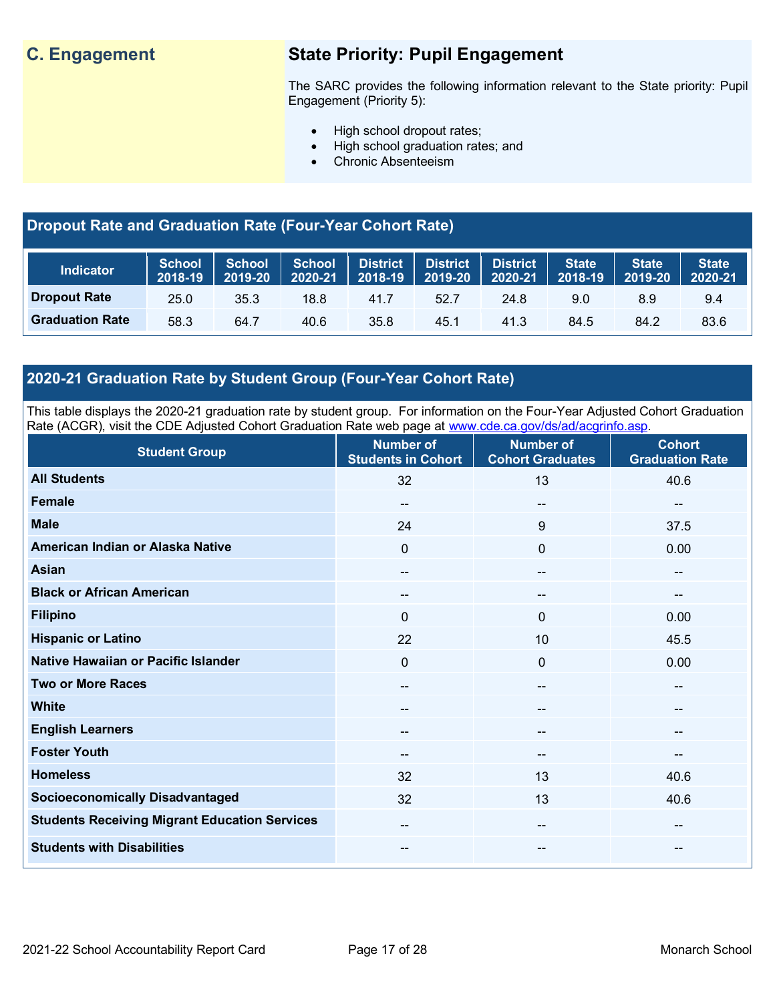## **C. Engagement State Priority: Pupil Engagement**

The SARC provides the following information relevant to the State priority: Pupil Engagement (Priority 5):

- High school dropout rates;
- High school graduation rates; and
- Chronic Absenteeism

## **Dropout Rate and Graduation Rate (Four-Year Cohort Rate)**

| <b>Indicator</b>       | <b>School</b><br>2018-19 | <b>School</b><br>2019-20 | School<br>2020-21 |      | District   District   District<br>,2018-19  2019-20 | 2020-21 | <b>State</b><br>2018-19 | <b>State</b><br>2019-20 | <b>State</b><br>2020-21 |
|------------------------|--------------------------|--------------------------|-------------------|------|-----------------------------------------------------|---------|-------------------------|-------------------------|-------------------------|
| <b>Dropout Rate</b>    | 25.0                     | 35.3                     | 18.8              | 41.7 | 52.7                                                | 24.8    | 9.0                     | 8.9                     | 9.4                     |
| <b>Graduation Rate</b> | 58.3                     | 64.7                     | 40.6              | 35.8 | 45.1                                                | 41.3    | 84.5                    | 84.2                    | 83.6                    |

## **2020-21 Graduation Rate by Student Group (Four-Year Cohort Rate)**

This table displays the 2020-21 graduation rate by student group. For information on the Four-Year Adjusted Cohort Graduation Rate (ACGR), visit the CDE Adjusted Cohort Graduation Rate web page at [www.cde.ca.gov/ds/ad/acgrinfo.asp.](http://www.cde.ca.gov/ds/ad/acgrinfo.asp)

| <b>Student Group</b>                                 | <b>Number of</b><br><b>Students in Cohort</b> | <b>Number of</b><br><b>Cohort Graduates</b> | <b>Cohort</b><br><b>Graduation Rate</b> |
|------------------------------------------------------|-----------------------------------------------|---------------------------------------------|-----------------------------------------|
| <b>All Students</b>                                  | 32                                            | 13                                          | 40.6                                    |
| <b>Female</b>                                        | --                                            | $\hspace{0.05cm}$ – $\hspace{0.05cm}$       | --                                      |
| <b>Male</b>                                          | 24                                            | 9                                           | 37.5                                    |
| American Indian or Alaska Native                     | 0                                             | $\mathbf{0}$                                | 0.00                                    |
| <b>Asian</b>                                         | --                                            | $\hspace{0.05cm}$ – $\hspace{0.05cm}$       | --                                      |
| <b>Black or African American</b>                     | --                                            | $\hspace{0.05cm}$ – $\hspace{0.05cm}$       | --                                      |
| <b>Filipino</b>                                      | $\mathbf{0}$                                  | $\mathbf{0}$                                | 0.00                                    |
| <b>Hispanic or Latino</b>                            | 22                                            | 10                                          | 45.5                                    |
| Native Hawaiian or Pacific Islander                  | 0                                             | $\mathbf 0$                                 | 0.00                                    |
| <b>Two or More Races</b>                             | $\qquad \qquad \blacksquare$                  | $\overline{\phantom{a}}$                    | $\overline{\phantom{a}}$                |
| <b>White</b>                                         | $\qquad \qquad \cdots$                        | --                                          | --                                      |
| <b>English Learners</b>                              | --                                            | $\hspace{0.05cm}$ – $\hspace{0.05cm}$       | --                                      |
| <b>Foster Youth</b>                                  | --                                            | $\hspace{0.05cm}$ – $\hspace{0.05cm}$       | --                                      |
| <b>Homeless</b>                                      | 32                                            | 13                                          | 40.6                                    |
| <b>Socioeconomically Disadvantaged</b>               | 32                                            | 13                                          | 40.6                                    |
| <b>Students Receiving Migrant Education Services</b> | --                                            | $\hspace{0.05cm}$ – $\hspace{0.05cm}$       | --                                      |
| <b>Students with Disabilities</b>                    | --                                            | $\overline{\phantom{a}}$                    | --                                      |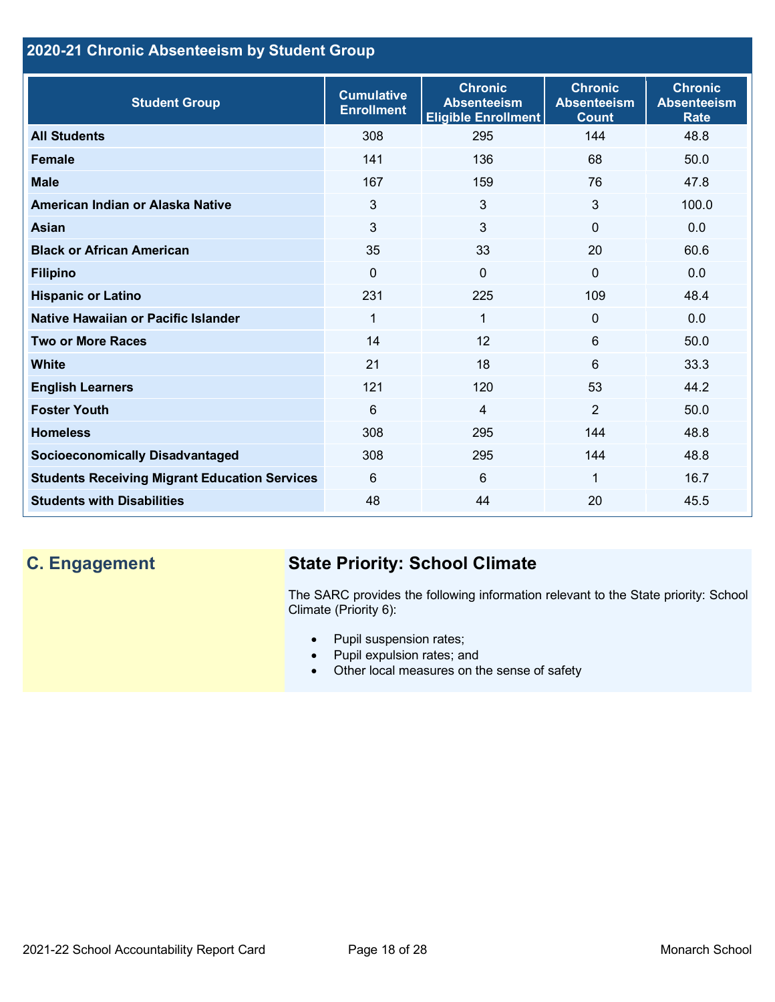## **2020-21 Chronic Absenteeism by Student Group**

| <b>Student Group</b>                                 | <b>Cumulative</b><br><b>Enrollment</b> | <b>Chronic</b><br><b>Absenteeism</b><br><b>Eligible Enrollment</b> | <b>Chronic</b><br><b>Absenteeism</b><br><b>Count</b> | <b>Chronic</b><br><b>Absenteeism</b><br><b>Rate</b> |
|------------------------------------------------------|----------------------------------------|--------------------------------------------------------------------|------------------------------------------------------|-----------------------------------------------------|
| <b>All Students</b>                                  | 308                                    | 295                                                                | 144                                                  | 48.8                                                |
| <b>Female</b>                                        | 141                                    | 136                                                                | 68                                                   | 50.0                                                |
| <b>Male</b>                                          | 167                                    | 159                                                                | 76                                                   | 47.8                                                |
| American Indian or Alaska Native                     | 3                                      | 3                                                                  | 3                                                    | 100.0                                               |
| <b>Asian</b>                                         | 3                                      | 3                                                                  | $\mathbf 0$                                          | 0.0                                                 |
| <b>Black or African American</b>                     | 35                                     | 33                                                                 | 20                                                   | 60.6                                                |
| <b>Filipino</b>                                      | 0                                      | $\mathbf 0$                                                        | $\mathbf 0$                                          | 0.0                                                 |
| <b>Hispanic or Latino</b>                            | 231                                    | 225                                                                | 109                                                  | 48.4                                                |
| Native Hawaiian or Pacific Islander                  | 1                                      | 1                                                                  | $\mathbf 0$                                          | 0.0                                                 |
| <b>Two or More Races</b>                             | 14                                     | 12                                                                 | 6                                                    | 50.0                                                |
| <b>White</b>                                         | 21                                     | 18                                                                 | 6                                                    | 33.3                                                |
| <b>English Learners</b>                              | 121                                    | 120                                                                | 53                                                   | 44.2                                                |
| <b>Foster Youth</b>                                  | 6                                      | 4                                                                  | 2                                                    | 50.0                                                |
| <b>Homeless</b>                                      | 308                                    | 295                                                                | 144                                                  | 48.8                                                |
| <b>Socioeconomically Disadvantaged</b>               | 308                                    | 295                                                                | 144                                                  | 48.8                                                |
| <b>Students Receiving Migrant Education Services</b> | 6                                      | 6                                                                  | 1                                                    | 16.7                                                |
| <b>Students with Disabilities</b>                    | 48                                     | 44                                                                 | 20                                                   | 45.5                                                |

## **C. Engagement State Priority: School Climate**

The SARC provides the following information relevant to the State priority: School Climate (Priority 6):

- Pupil suspension rates;
- Pupil expulsion rates; and
- Other local measures on the sense of safety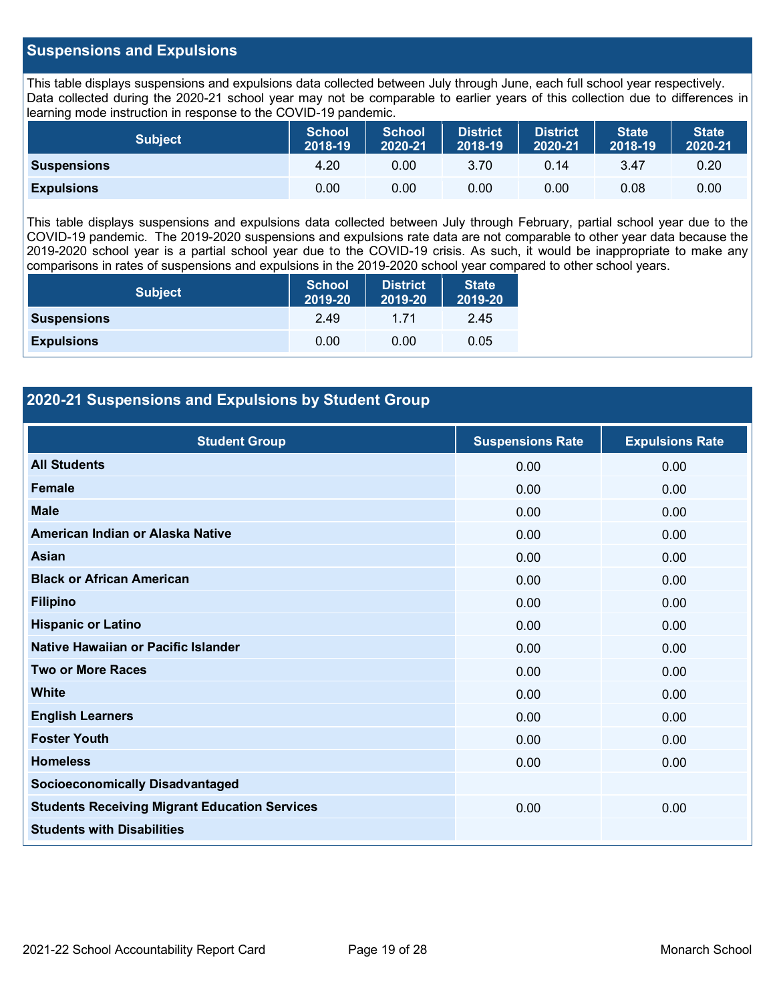### **Suspensions and Expulsions**

This table displays suspensions and expulsions data collected between July through June, each full school year respectively. Data collected during the 2020-21 school year may not be comparable to earlier years of this collection due to differences in learning mode instruction in response to the COVID-19 pandemic.

| <b>Subject</b>     | <b>School</b><br>$2018 - 19$ | <b>School</b><br>2020-21 | <b>District</b><br>2018-19 | <b>District</b><br>2020-21 | State <sup>1</sup><br>2018-19 | <b>State</b><br>2020-21 |
|--------------------|------------------------------|--------------------------|----------------------------|----------------------------|-------------------------------|-------------------------|
| <b>Suspensions</b> | 4.20                         | 0.00                     | 3.70                       | 0.14                       | 3.47                          | 0.20                    |
| <b>Expulsions</b>  | 0.00                         | 0.00                     | 0.00                       | 0.00                       | 0.08                          | 0.00                    |

This table displays suspensions and expulsions data collected between July through February, partial school year due to the COVID-19 pandemic. The 2019-2020 suspensions and expulsions rate data are not comparable to other year data because the 2019-2020 school year is a partial school year due to the COVID-19 crisis. As such, it would be inappropriate to make any comparisons in rates of suspensions and expulsions in the 2019-2020 school year compared to other school years.

| <b>Subject</b>     | <b>School</b><br>2019-20 | <b>District</b><br>2019-20 | <b>State</b><br>2019-20 |
|--------------------|--------------------------|----------------------------|-------------------------|
| <b>Suspensions</b> | 2.49                     | 1 71                       | 2.45                    |
| <b>Expulsions</b>  | 0.00                     | 0.00                       | 0.05                    |

### **2020-21 Suspensions and Expulsions by Student Group**

| <b>Student Group</b>                                 | <b>Suspensions Rate</b> | <b>Expulsions Rate</b> |
|------------------------------------------------------|-------------------------|------------------------|
| <b>All Students</b>                                  | 0.00                    | 0.00                   |
| <b>Female</b>                                        | 0.00                    | 0.00                   |
| <b>Male</b>                                          | 0.00                    | 0.00                   |
| American Indian or Alaska Native                     | 0.00                    | 0.00                   |
| <b>Asian</b>                                         | 0.00                    | 0.00                   |
| <b>Black or African American</b>                     | 0.00                    | 0.00                   |
| <b>Filipino</b>                                      | 0.00                    | 0.00                   |
| <b>Hispanic or Latino</b>                            | 0.00                    | 0.00                   |
| Native Hawaiian or Pacific Islander                  | 0.00                    | 0.00                   |
| <b>Two or More Races</b>                             | 0.00                    | 0.00                   |
| <b>White</b>                                         | 0.00                    | 0.00                   |
| <b>English Learners</b>                              | 0.00                    | 0.00                   |
| <b>Foster Youth</b>                                  | 0.00                    | 0.00                   |
| <b>Homeless</b>                                      | 0.00                    | 0.00                   |
| <b>Socioeconomically Disadvantaged</b>               |                         |                        |
| <b>Students Receiving Migrant Education Services</b> | 0.00                    | 0.00                   |
| <b>Students with Disabilities</b>                    |                         |                        |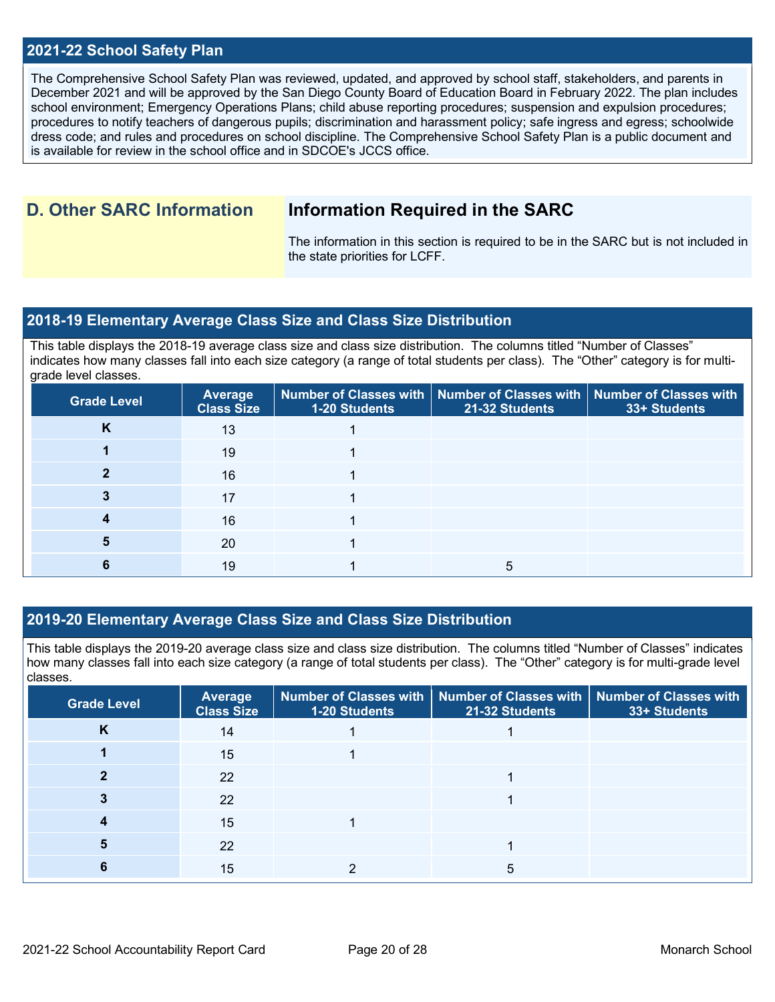### **2021-22 School Safety Plan**

The Comprehensive School Safety Plan was reviewed, updated, and approved by school staff, stakeholders, and parents in December 2021 and will be approved by the San Diego County Board of Education Board in February 2022. The plan includes school environment; Emergency Operations Plans; child abuse reporting procedures; suspension and expulsion procedures; procedures to notify teachers of dangerous pupils; discrimination and harassment policy; safe ingress and egress; schoolwide dress code; and rules and procedures on school discipline. The Comprehensive School Safety Plan is a public document and is available for review in the school office and in  $SDCOE$ 's JCCS office.

## **D. Other SARC Information Information Required in the SARC**

The information in this section is required to be in the SARC but is not included in the state priorities for LCFF.

### **2018-19 Elementary Average Class Size and Class Size Distribution**

This table displays the 2018-19 average class size and class size distribution. The columns titled "Number of Classes" indicates how many classes fall into each size category (a range of total students per class). The "Other" category is for multigrade level classes.

| <b>Grade Level</b> | Average<br><b>Class Size</b> | 1-20 Students | Number of Classes with   Number of Classes with   Number of Classes with<br>21-32 Students | 33+ Students |
|--------------------|------------------------------|---------------|--------------------------------------------------------------------------------------------|--------------|
| K                  | 13                           |               |                                                                                            |              |
|                    | 19                           |               |                                                                                            |              |
|                    | 16                           |               |                                                                                            |              |
|                    | 17                           |               |                                                                                            |              |
|                    | 16                           |               |                                                                                            |              |
|                    | 20                           |               |                                                                                            |              |
|                    | 19                           |               |                                                                                            |              |

### **2019-20 Elementary Average Class Size and Class Size Distribution**

This table displays the 2019-20 average class size and class size distribution. The columns titled "Number of Classes" indicates how many classes fall into each size category (a range of total students per class). The "Other" category is for multi-grade level classes.

| <b>Grade Level</b> | Average<br><b>Class Size</b> | 1-20 Students | Number of Classes with   Number of Classes with  <br>21-32 Students | <b>Number of Classes with</b><br>33+ Students |
|--------------------|------------------------------|---------------|---------------------------------------------------------------------|-----------------------------------------------|
| Κ                  | 14                           |               |                                                                     |                                               |
|                    | 15                           |               |                                                                     |                                               |
|                    | 22                           |               |                                                                     |                                               |
|                    | 22                           |               |                                                                     |                                               |
|                    | 15                           |               |                                                                     |                                               |
|                    | 22                           |               |                                                                     |                                               |
|                    | 15                           |               | 5                                                                   |                                               |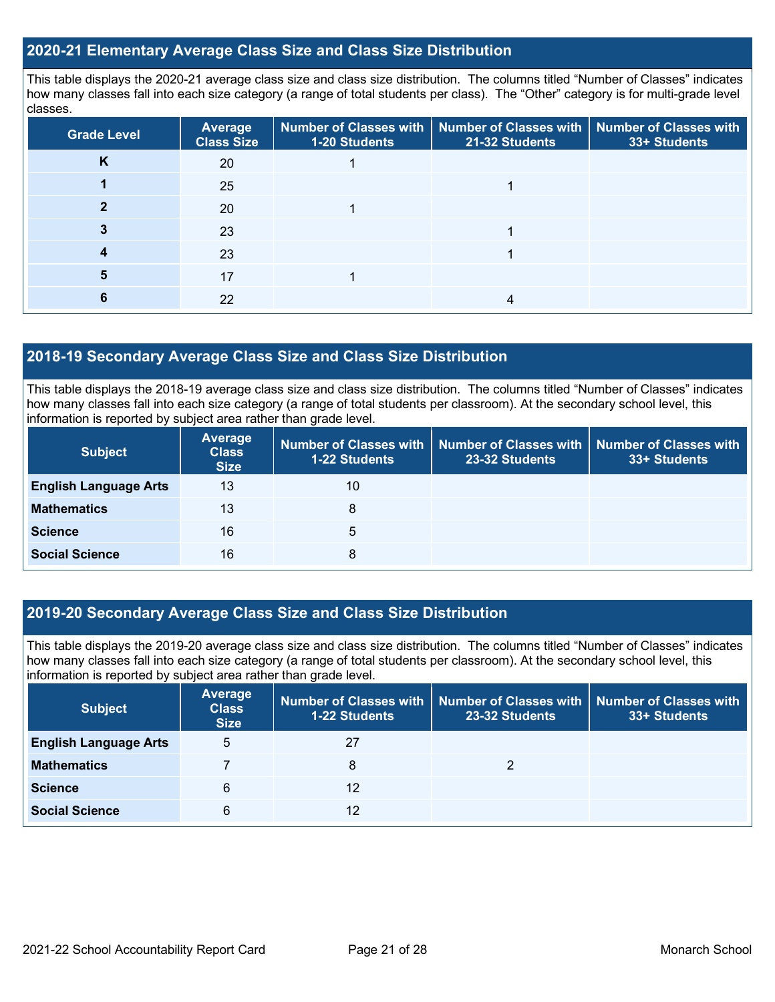### **2020-21 Elementary Average Class Size and Class Size Distribution**

This table displays the 2020-21 average class size and class size distribution. The columns titled "Number of Classes" indicates how many classes fall into each size category (a range of total students per class). The "Other" category is for multi-grade level classes.

| <b>Grade Level</b> | <b>Average</b><br><b>Class Size</b> | 1-20 Students | Number of Classes with   Number of Classes with   Number of Classes with<br>21-32 Students | 33+ Students |
|--------------------|-------------------------------------|---------------|--------------------------------------------------------------------------------------------|--------------|
| ĸ                  | 20                                  |               |                                                                                            |              |
|                    | 25                                  |               |                                                                                            |              |
|                    | 20                                  |               |                                                                                            |              |
|                    | 23                                  |               |                                                                                            |              |
|                    | 23                                  |               |                                                                                            |              |
|                    | 17                                  |               |                                                                                            |              |
|                    | 22                                  |               |                                                                                            |              |

### **2018-19 Secondary Average Class Size and Class Size Distribution**

This table displays the 2018-19 average class size and class size distribution. The columns titled "Number of Classes" indicates how many classes fall into each size category (a range of total students per classroom). At the secondary school level, this information is reported by subject area rather than grade level.

| <b>Subject</b>               | Average<br><b>Class</b><br><b>Size</b> | <b>1-22 Students</b> | 23-32 Students | Number of Classes with   Number of Classes with   Number of Classes with  <br>33+ Students |
|------------------------------|----------------------------------------|----------------------|----------------|--------------------------------------------------------------------------------------------|
| <b>English Language Arts</b> | 13                                     | 10                   |                |                                                                                            |
| <b>Mathematics</b>           | 13                                     | 8                    |                |                                                                                            |
| <b>Science</b>               | 16                                     | 5                    |                |                                                                                            |
| <b>Social Science</b>        | 16                                     | 8                    |                |                                                                                            |

### **2019-20 Secondary Average Class Size and Class Size Distribution**

This table displays the 2019-20 average class size and class size distribution. The columns titled "Number of Classes" indicates how many classes fall into each size category (a range of total students per classroom). At the secondary school level, this information is reported by subject area rather than grade level.

| <b>Subject</b>               | <b>Average</b><br><b>Class</b><br><b>Size</b> | 1-22 Students | Number of Classes with   Number of Classes with   Number of Classes with<br>23-32 Students | 33+ Students |
|------------------------------|-----------------------------------------------|---------------|--------------------------------------------------------------------------------------------|--------------|
| <b>English Language Arts</b> | 5                                             | 27            |                                                                                            |              |
| <b>Mathematics</b>           |                                               | 8             |                                                                                            |              |
| <b>Science</b>               | 6                                             | 12            |                                                                                            |              |
| <b>Social Science</b>        | 6                                             | 12            |                                                                                            |              |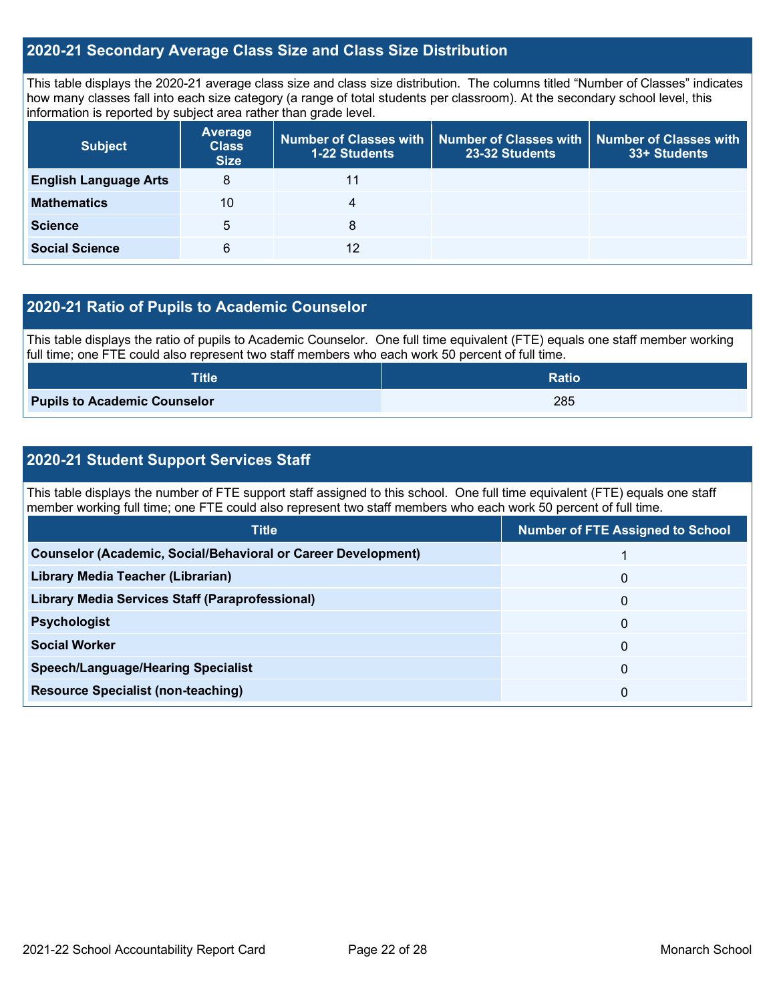### **2020-21 Secondary Average Class Size and Class Size Distribution**

This table displays the 2020-21 average class size and class size distribution. The columns titled "Number of Classes" indicates how many classes fall into each size category (a range of total students per classroom). At the secondary school level, this information is reported by subject area rather than grade level.

| <b>Subject</b>               | <b>Average</b><br><b>Class</b><br><b>Size</b> | <b>1-22 Students</b> | Number of Classes with Number of Classes with<br>23-32 Students | <b>Number of Classes with</b><br>33+ Students |
|------------------------------|-----------------------------------------------|----------------------|-----------------------------------------------------------------|-----------------------------------------------|
| <b>English Language Arts</b> | 8                                             |                      |                                                                 |                                               |
| <b>Mathematics</b>           | 10                                            | 4                    |                                                                 |                                               |
| <b>Science</b>               | 5                                             | 8                    |                                                                 |                                               |
| <b>Social Science</b>        | 6                                             | 12                   |                                                                 |                                               |

### **2020-21 Ratio of Pupils to Academic Counselor**

This table displays the ratio of pupils to Academic Counselor. One full time equivalent (FTE) equals one staff member working full time; one FTE could also represent two staff members who each work 50 percent of full time.

| ${\sf Title}^{\dagger}$             | <b>Ratio</b> |
|-------------------------------------|--------------|
| <b>Pupils to Academic Counselor</b> | 285          |

### **2020-21 Student Support Services Staff**

This table displays the number of FTE support staff assigned to this school. One full time equivalent (FTE) equals one staff member working full time; one FTE could also represent two staff members who each work 50 percent of full time.

| <b>Title</b>                                                         | <b>Number of FTE Assigned to School</b> |
|----------------------------------------------------------------------|-----------------------------------------|
| <b>Counselor (Academic, Social/Behavioral or Career Development)</b> |                                         |
| Library Media Teacher (Librarian)                                    | 0                                       |
| <b>Library Media Services Staff (Paraprofessional)</b>               | 0                                       |
| <b>Psychologist</b>                                                  | 0                                       |
| <b>Social Worker</b>                                                 | 0                                       |
| <b>Speech/Language/Hearing Specialist</b>                            | 0                                       |
| <b>Resource Specialist (non-teaching)</b>                            | 0                                       |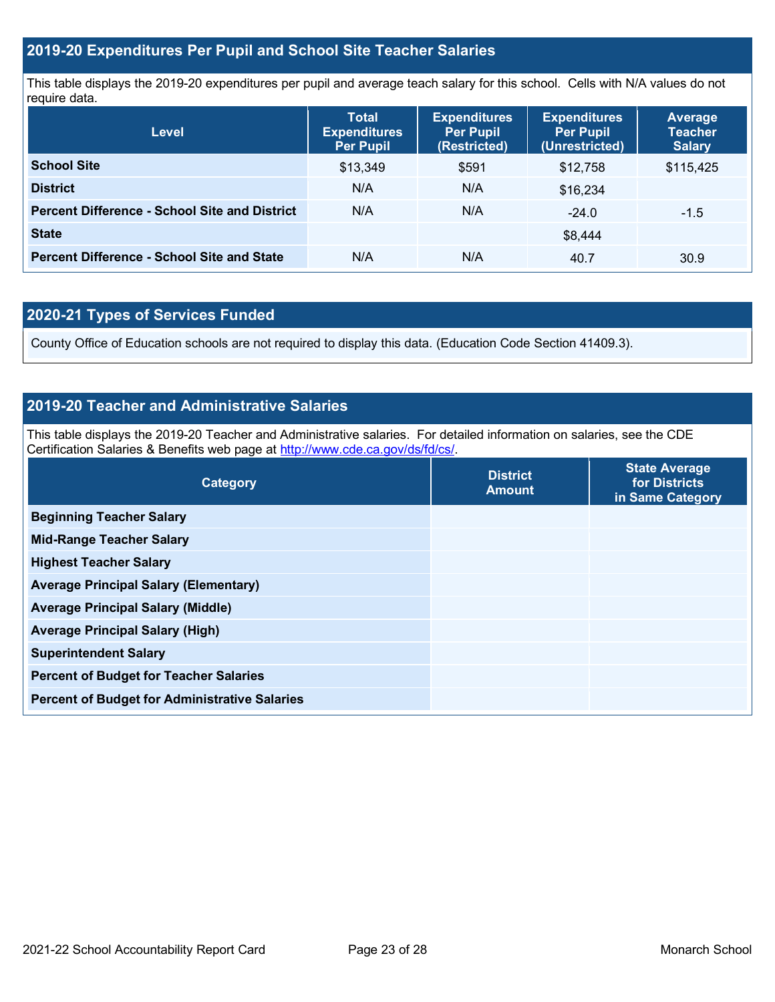### **2019-20 Expenditures Per Pupil and School Site Teacher Salaries**

This table displays the 2019-20 expenditures per pupil and average teach salary for this school. Cells with N/A values do not require data.

| Level                                                | <b>Total</b><br><b>Expenditures</b><br><b>Per Pupil</b> | <b>Expenditures</b><br><b>Per Pupil</b><br>(Restricted) | <b>Expenditures</b><br><b>Per Pupil</b><br>(Unrestricted) | Average<br><b>Teacher</b><br><b>Salary</b> |
|------------------------------------------------------|---------------------------------------------------------|---------------------------------------------------------|-----------------------------------------------------------|--------------------------------------------|
| <b>School Site</b>                                   | \$13,349                                                | \$591                                                   | \$12,758                                                  | \$115,425                                  |
| <b>District</b>                                      | N/A                                                     | N/A                                                     | \$16,234                                                  |                                            |
| <b>Percent Difference - School Site and District</b> | N/A                                                     | N/A                                                     | $-24.0$                                                   | $-1.5$                                     |
| <b>State</b>                                         |                                                         |                                                         | \$8,444                                                   |                                            |
| <b>Percent Difference - School Site and State</b>    | N/A                                                     | N/A                                                     | 40.7                                                      | 30.9                                       |

## **2020-21 Types of Services Funded**

County Office of Education schools are not required to display this data. (Education Code Section 41409.3).

### **2019-20 Teacher and Administrative Salaries**

This table displays the 2019-20 Teacher and Administrative salaries. For detailed information on salaries, see the CDE Certification Salaries & Benefits web page at [http://www.cde.ca.gov/ds/fd/cs/.](http://www.cde.ca.gov/ds/fd/cs/)

| <b>District</b><br><b>Amount</b> | <b>State Average</b><br>for Districts<br>in Same Category |
|----------------------------------|-----------------------------------------------------------|
|                                  |                                                           |
|                                  |                                                           |
|                                  |                                                           |
|                                  |                                                           |
|                                  |                                                           |
|                                  |                                                           |
|                                  |                                                           |
|                                  |                                                           |
|                                  |                                                           |
|                                  |                                                           |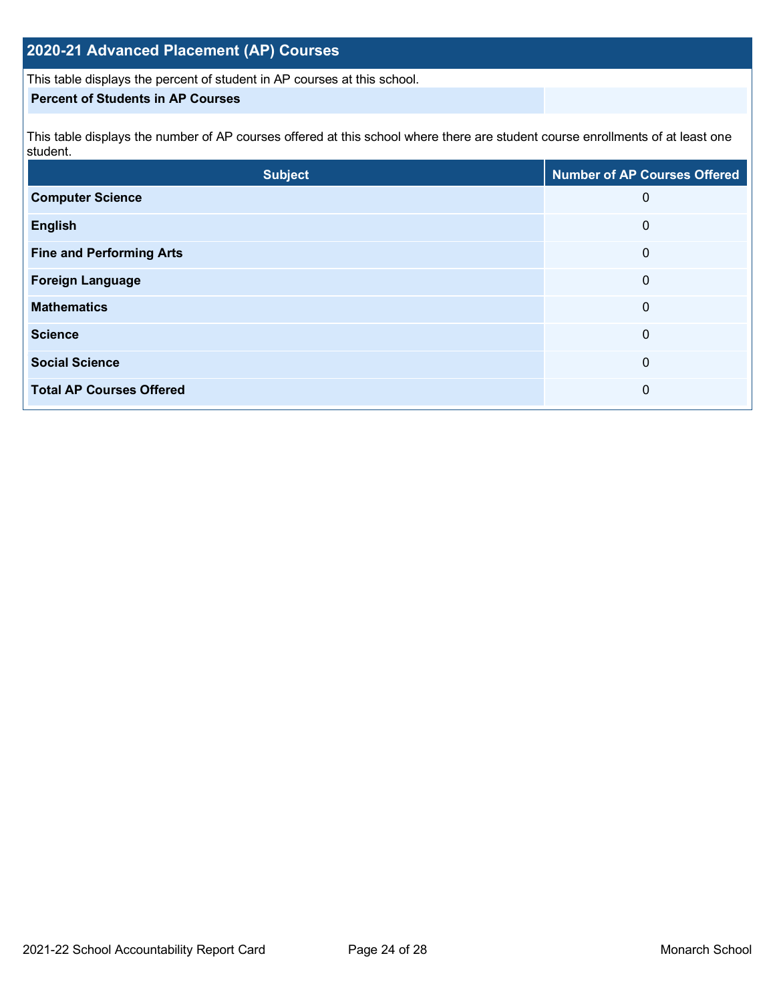## **2020-21 Advanced Placement (AP) Courses**

This table displays the percent of student in AP courses at this school.

### **Percent of Students in AP Courses**

This table displays the number of AP courses offered at this school where there are student course enrollments of at least one student.

| <b>Subject</b>                  | <b>Number of AP Courses Offered</b> |
|---------------------------------|-------------------------------------|
| <b>Computer Science</b>         | 0                                   |
| <b>English</b>                  | 0                                   |
| <b>Fine and Performing Arts</b> | 0                                   |
| <b>Foreign Language</b>         | 0                                   |
| <b>Mathematics</b>              | 0                                   |
| <b>Science</b>                  | 0                                   |
| <b>Social Science</b>           | 0                                   |
| <b>Total AP Courses Offered</b> | 0                                   |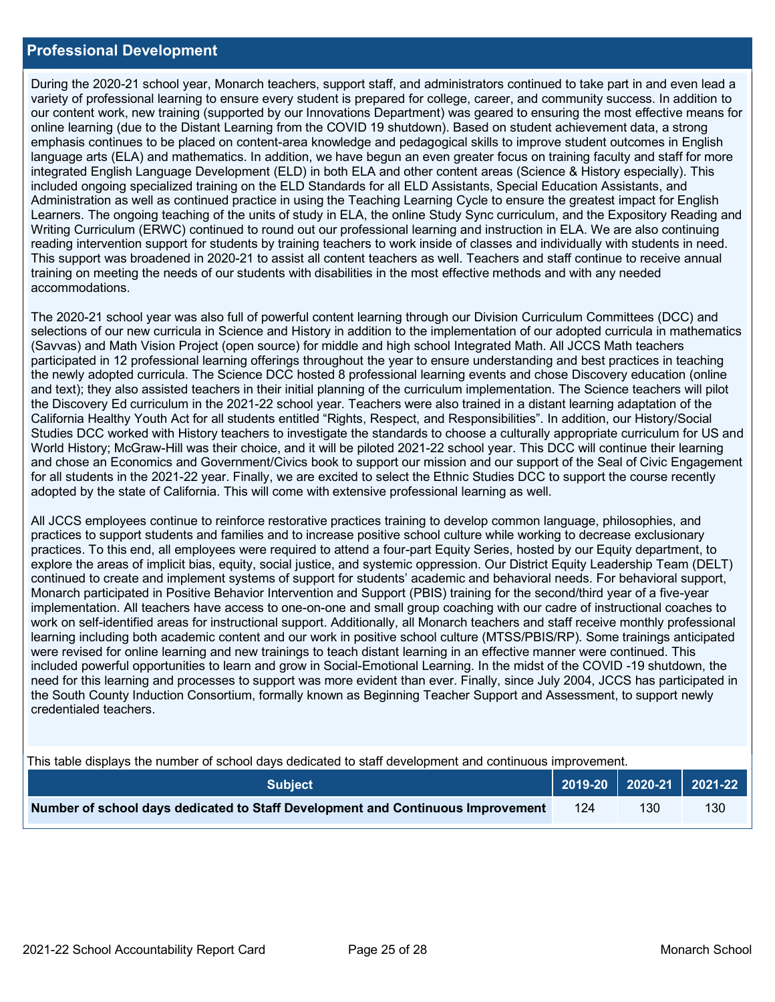### **Professional Development**

During the 2020-21 school year, Monarch teachers, support staff, and administrators continued to take part in and even lead a variety of professional learning to ensure every student is prepared for college, career, and community success. In addition to our content work, new training (supported by our Innovations Department) was geared to ensuring the most effective means for online learning (due to the Distant Learning from the COVID 19 shutdown). Based on student achievement data, a strong emphasis continues to be placed on content-area knowledge and pedagogical skills to improve student outcomes in English language arts (ELA) and mathematics. In addition, we have begun an even greater focus on training faculty and staff for more integrated English Language Development (ELD) in both ELA and other content areas (Science & History especially). This included ongoing specialized training on the ELD Standards for all ELD Assistants, Special Education Assistants, and Administration as well as continued practice in using the Teaching Learning Cycle to ensure the greatest impact for English Learners. The ongoing teaching of the units of study in ELA, the online Study Sync curriculum, and the Expository Reading and Writing Curriculum (ERWC) continued to round out our professional learning and instruction in ELA. We are also continuing reading intervention support for students by training teachers to work inside of classes and individually with students in need. This support was broadened in 2020-21 to assist all content teachers as well. Teachers and staff continue to receive annual training on meeting the needs of our students with disabilities in the most effective methods and with any needed accommodations.

The 2020-21 school year was also full of powerful content learning through our Division Curriculum Committees (DCC) and selections of our new curricula in Science and History in addition to the implementation of our adopted curricula in mathematics (Savvas) and Math Vision Project (open source) for middle and high school Integrated Math. All JCCS Math teachers participated in 12 professional learning offerings throughout the year to ensure understanding and best practices in teaching the newly adopted curricula. The Science DCC hosted 8 professional learning events and chose Discovery education (online and text); they also assisted teachers in their initial planning of the curriculum implementation. The Science teachers will pilot the Discovery Ed curriculum in the 2021-22 school year. Teachers were also trained in a distant learning adaptation of the California Healthy Youth Act for all students entitled "Rights, Respect, and Responsibilities". In addition, our History/Social Studies DCC worked with History teachers to investigate the standards to choose a culturally appropriate curriculum for US and World History; McGraw-Hill was their choice, and it will be piloted 2021-22 school year. This DCC will continue their learning and chose an Economics and Government/Civics book to support our mission and our support of the Seal of Civic Engagement for all students in the 2021-22 year. Finally, we are excited to select the Ethnic Studies DCC to support the course recently adopted by the state of California. This will come with extensive professional learning as well.

All JCCS employees continue to reinforce restorative practices training to develop common language, philosophies, and practices to support students and families and to increase positive school culture while working to decrease exclusionary practices. To this end, all employees were required to attend a four-part Equity Series, hosted by our Equity department, to explore the areas of implicit bias, equity, social justice, and systemic oppression. Our District Equity Leadership Team (DELT) continued to create and implement systems of support for students' academic and behavioral needs. For behavioral support, Monarch participated in Positive Behavior Intervention and Support (PBIS) training for the second/third year of a five-year implementation. All teachers have access to one-on-one and small group coaching with our cadre of instructional coaches to work on self-identified areas for instructional support. Additionally, all Monarch teachers and staff receive monthly professional learning including both academic content and our work in positive school culture (MTSS/PBIS/RP). Some trainings anticipated were revised for online learning and new trainings to teach distant learning in an effective manner were continued. This included powerful opportunities to learn and grow in Social-Emotional Learning. In the midst of the COVID -19 shutdown, the need for this learning and processes to support was more evident than ever. Finally, since July 2004, JCCS has participated in the South County Induction Consortium, formally known as Beginning Teacher Support and Assessment, to support newly credentialed teachers.

This table displays the number of school days dedicated to staff development and continuous improvement.

| <b>Subiect</b>                                                                  |  |     | $\bigcup$ 2019-20 2020-21 2021-22 |
|---------------------------------------------------------------------------------|--|-----|-----------------------------------|
| Number of school days dedicated to Staff Development and Continuous Improvement |  | 130 | 130                               |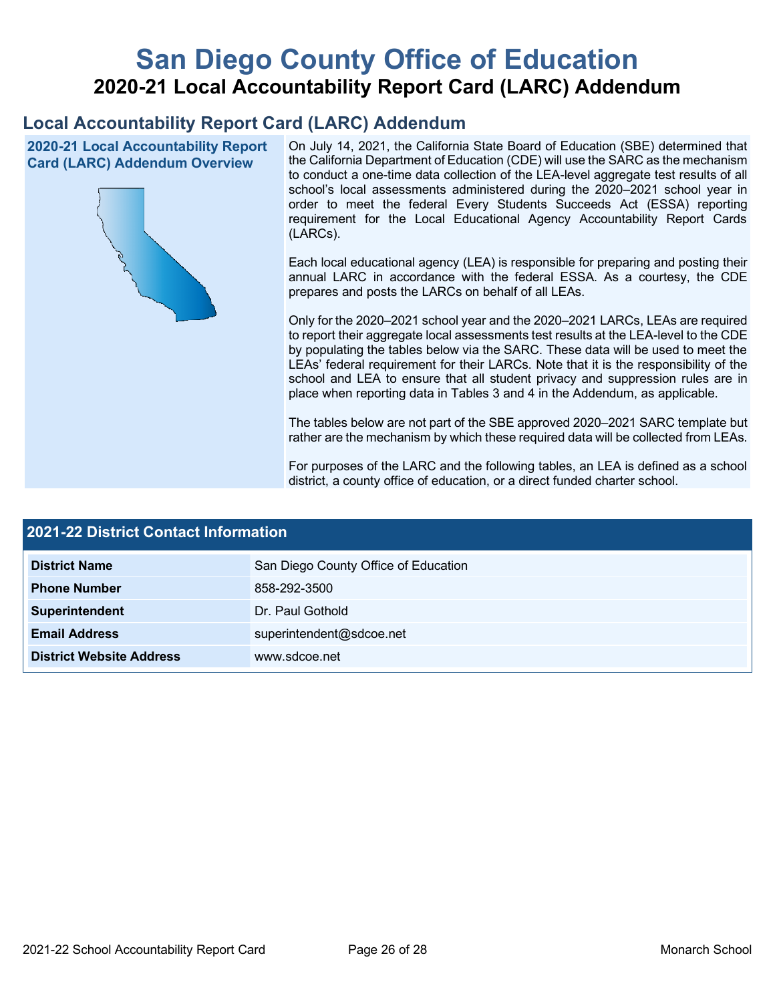# **San Diego County Office of Education 2020-21 Local Accountability Report Card (LARC) Addendum**

## **Local Accountability Report Card (LARC) Addendum**

**2020-21 Local Accountability Report Card (LARC) Addendum Overview**



On July 14, 2021, the California State Board of Education (SBE) determined that the California Department of Education (CDE) will use the SARC as the mechanism to conduct a one-time data collection of the LEA-level aggregate test results of all school's local assessments administered during the 2020–2021 school year in order to meet the federal Every Students Succeeds Act (ESSA) reporting requirement for the Local Educational Agency Accountability Report Cards (LARCs).

Each local educational agency (LEA) is responsible for preparing and posting their annual LARC in accordance with the federal ESSA. As a courtesy, the CDE prepares and posts the LARCs on behalf of all LEAs.

Only for the 2020–2021 school year and the 2020–2021 LARCs, LEAs are required to report their aggregate local assessments test results at the LEA-level to the CDE by populating the tables below via the SARC. These data will be used to meet the LEAs' federal requirement for their LARCs. Note that it is the responsibility of the school and LEA to ensure that all student privacy and suppression rules are in place when reporting data in Tables 3 and 4 in the Addendum, as applicable.

The tables below are not part of the SBE approved 2020–2021 SARC template but rather are the mechanism by which these required data will be collected from LEAs.

For purposes of the LARC and the following tables, an LEA is defined as a school district, a county office of education, or a direct funded charter school.

| <b>2021-22 District Contact Information</b> |                                      |  |  |  |
|---------------------------------------------|--------------------------------------|--|--|--|
| <b>District Name</b>                        | San Diego County Office of Education |  |  |  |
| <b>Phone Number</b>                         | 858-292-3500                         |  |  |  |
| Superintendent                              | Dr. Paul Gothold                     |  |  |  |
| <b>Email Address</b>                        | superintendent@sdcoe.net             |  |  |  |
| <b>District Website Address</b>             | www.sdcoe.net                        |  |  |  |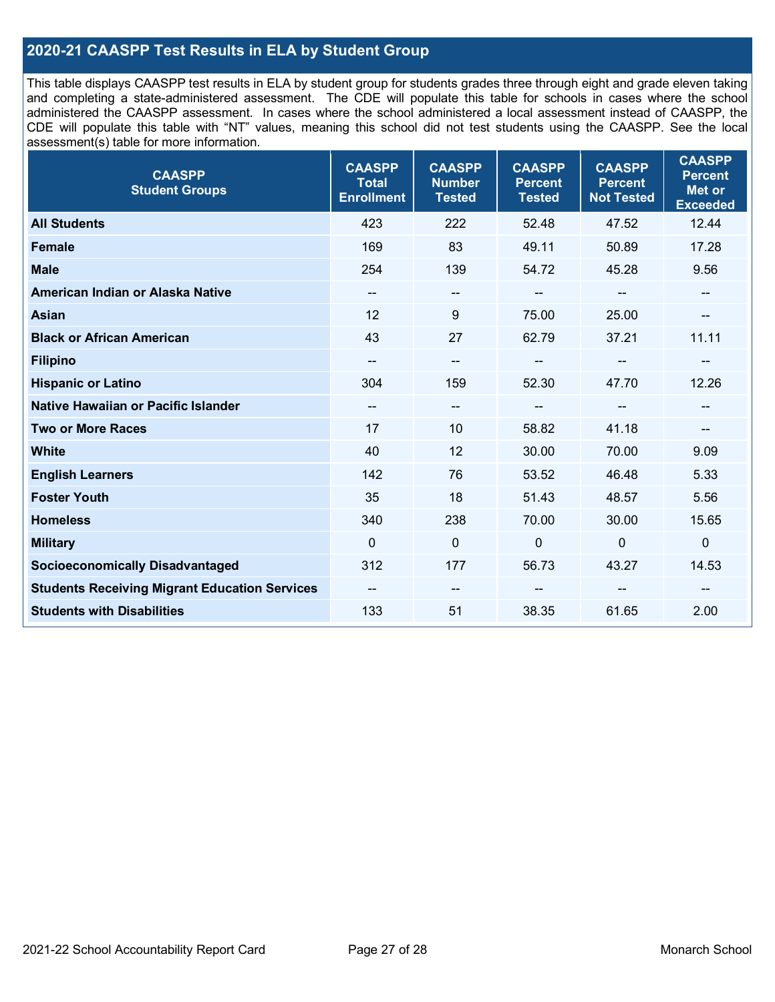### **2020-21 CAASPP Test Results in ELA by Student Group**

This table displays CAASPP test results in ELA by student group for students grades three through eight and grade eleven taking and completing a state-administered assessment. The CDE will populate this table for schools in cases where the school administered the CAASPP assessment. In cases where the school administered a local assessment instead of CAASPP, the CDE will populate this table with "NT" values, meaning this school did not test students using the CAASPP. See the local assessment(s) table for more information.

| <b>CAASPP</b><br><b>Student Groups</b>               | <b>CAASPP</b><br><b>Total</b><br><b>Enrollment</b> | <b>CAASPP</b><br><b>Number</b><br><b>Tested</b> | <b>CAASPP</b><br><b>Percent</b><br><b>Tested</b> | <b>CAASPP</b><br><b>Percent</b><br><b>Not Tested</b> | <b>CAASPP</b><br><b>Percent</b><br><b>Met or</b><br><b>Exceeded</b> |
|------------------------------------------------------|----------------------------------------------------|-------------------------------------------------|--------------------------------------------------|------------------------------------------------------|---------------------------------------------------------------------|
| <b>All Students</b>                                  | 423                                                | 222                                             | 52.48                                            | 47.52                                                | 12.44                                                               |
| <b>Female</b>                                        | 169                                                | 83                                              | 49.11                                            | 50.89                                                | 17.28                                                               |
| <b>Male</b>                                          | 254                                                | 139                                             | 54.72                                            | 45.28                                                | 9.56                                                                |
| American Indian or Alaska Native                     | $\qquad \qquad$                                    | $\overline{\phantom{m}}$                        | --                                               | $\overline{\phantom{a}}$                             | --                                                                  |
| <b>Asian</b>                                         | 12                                                 | 9                                               | 75.00                                            | 25.00                                                |                                                                     |
| <b>Black or African American</b>                     | 43                                                 | 27                                              | 62.79                                            | 37.21                                                | 11.11                                                               |
| <b>Filipino</b>                                      |                                                    | $\overline{\phantom{m}}$                        |                                                  | $\mathbf{u}$                                         |                                                                     |
| <b>Hispanic or Latino</b>                            | 304                                                | 159                                             | 52.30                                            | 47.70                                                | 12.26                                                               |
| <b>Native Hawaiian or Pacific Islander</b>           | --                                                 | $\overline{\phantom{a}}$                        | --                                               | $\overline{\phantom{a}}$                             | --                                                                  |
| <b>Two or More Races</b>                             | 17                                                 | 10                                              | 58.82                                            | 41.18                                                | --                                                                  |
| <b>White</b>                                         | 40                                                 | 12                                              | 30.00                                            | 70.00                                                | 9.09                                                                |
| <b>English Learners</b>                              | 142                                                | 76                                              | 53.52                                            | 46.48                                                | 5.33                                                                |
| <b>Foster Youth</b>                                  | 35                                                 | 18                                              | 51.43                                            | 48.57                                                | 5.56                                                                |
| <b>Homeless</b>                                      | 340                                                | 238                                             | 70.00                                            | 30.00                                                | 15.65                                                               |
| <b>Military</b>                                      | $\mathbf{0}$                                       | $\mathbf 0$                                     | $\mathbf 0$                                      | $\mathbf 0$                                          | 0                                                                   |
| <b>Socioeconomically Disadvantaged</b>               | 312                                                | 177                                             | 56.73                                            | 43.27                                                | 14.53                                                               |
| <b>Students Receiving Migrant Education Services</b> | $\overline{\phantom{a}}$                           | $\sim$                                          | --                                               |                                                      |                                                                     |
| <b>Students with Disabilities</b>                    | 133                                                | 51                                              | 38.35                                            | 61.65                                                | 2.00                                                                |